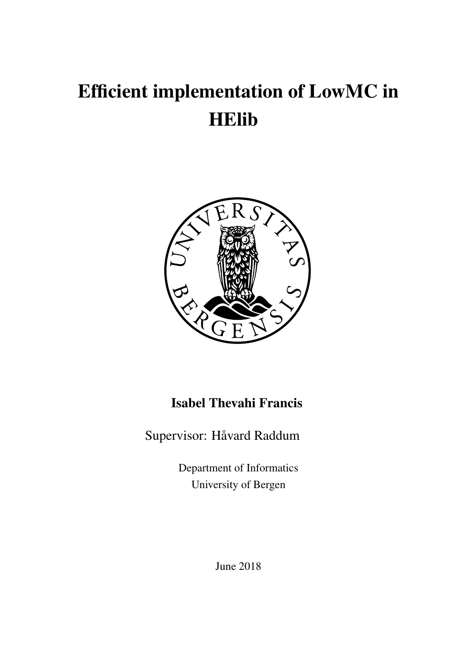# Efficient implementation of LowMC in HElib



### Isabel Thevahi Francis

Supervisor: Håvard Raddum

Department of Informatics University of Bergen

June 2018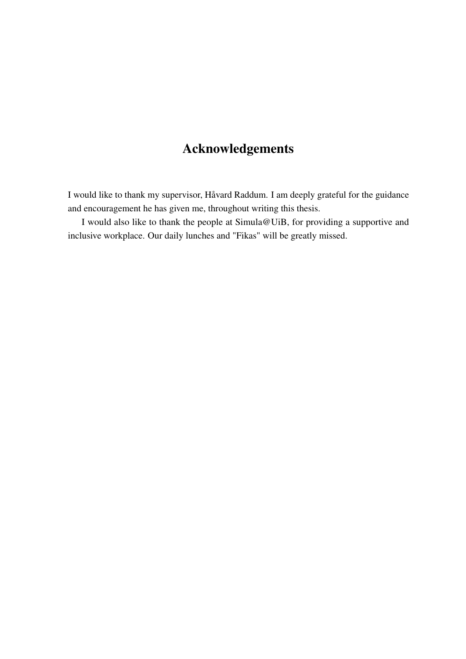### Acknowledgements

I would like to thank my supervisor, Håvard Raddum. I am deeply grateful for the guidance and encouragement he has given me, throughout writing this thesis.

I would also like to thank the people at Simula@UiB, for providing a supportive and inclusive workplace. Our daily lunches and "Fikas" will be greatly missed.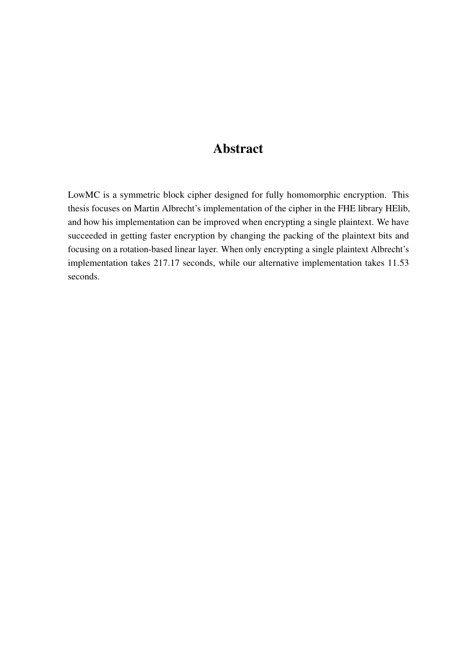### Abstract

LowMC is a symmetric block cipher designed for fully homomorphic encryption. This thesis focuses on Martin Albrecht's implementation of the cipher in the FHE library HElib, and how his implementation can be improved when encrypting a single plaintext. We have succeeded in getting faster encryption by changing the packing of the plaintext bits and focusing on a rotation-based linear layer. When only encrypting a single plaintext Albrecht's implementation takes 217.17 seconds, while our alternative implementation takes 11.53 seconds.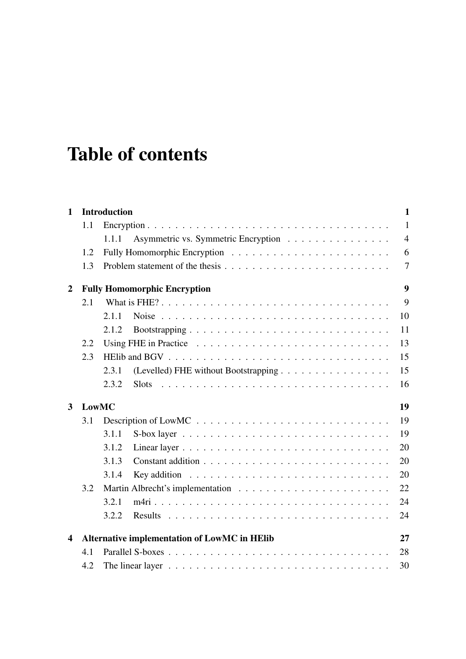# Table of contents

| $\mathbf{1}$            |              | <b>Introduction</b><br>$\mathbf{1}$                                                      |                  |  |  |  |  |  |  |  |  |  |  |  |  |
|-------------------------|--------------|------------------------------------------------------------------------------------------|------------------|--|--|--|--|--|--|--|--|--|--|--|--|
|                         | 1.1          |                                                                                          | $\mathbf{1}$     |  |  |  |  |  |  |  |  |  |  |  |  |
|                         |              | Asymmetric vs. Symmetric Encryption<br>1.1.1                                             | $\overline{4}$   |  |  |  |  |  |  |  |  |  |  |  |  |
|                         | 1.2          |                                                                                          | 6                |  |  |  |  |  |  |  |  |  |  |  |  |
|                         | 1.3          |                                                                                          | $\overline{7}$   |  |  |  |  |  |  |  |  |  |  |  |  |
| $\boldsymbol{2}$        |              | <b>Fully Homomorphic Encryption</b>                                                      | $\boldsymbol{9}$ |  |  |  |  |  |  |  |  |  |  |  |  |
|                         | 2.1          |                                                                                          | 9                |  |  |  |  |  |  |  |  |  |  |  |  |
|                         |              | 2.1.1                                                                                    | 10               |  |  |  |  |  |  |  |  |  |  |  |  |
|                         |              | 2.1.2                                                                                    | 11               |  |  |  |  |  |  |  |  |  |  |  |  |
|                         | 2.2          |                                                                                          | 13               |  |  |  |  |  |  |  |  |  |  |  |  |
|                         | 2.3          |                                                                                          | 15               |  |  |  |  |  |  |  |  |  |  |  |  |
|                         |              | (Levelled) FHE without Bootstrapping<br>2.3.1                                            | 15               |  |  |  |  |  |  |  |  |  |  |  |  |
|                         |              | 2.3.2<br><b>Slots</b>                                                                    | 16               |  |  |  |  |  |  |  |  |  |  |  |  |
| $\overline{\mathbf{3}}$ | <b>LowMC</b> |                                                                                          | 19               |  |  |  |  |  |  |  |  |  |  |  |  |
|                         | 3.1          |                                                                                          | 19               |  |  |  |  |  |  |  |  |  |  |  |  |
|                         |              | 3.1.1                                                                                    | 19               |  |  |  |  |  |  |  |  |  |  |  |  |
|                         |              | 3.1.2                                                                                    | 20               |  |  |  |  |  |  |  |  |  |  |  |  |
|                         |              | 3.1.3                                                                                    | 20               |  |  |  |  |  |  |  |  |  |  |  |  |
|                         |              | 3.1.4                                                                                    | 20               |  |  |  |  |  |  |  |  |  |  |  |  |
|                         | 3.2          |                                                                                          | 22               |  |  |  |  |  |  |  |  |  |  |  |  |
|                         |              | 3.2.1                                                                                    | 24               |  |  |  |  |  |  |  |  |  |  |  |  |
|                         |              | 3.2.2                                                                                    | 24               |  |  |  |  |  |  |  |  |  |  |  |  |
| $\overline{\mathbf{4}}$ |              | Alternative implementation of LowMC in HElib                                             | 27               |  |  |  |  |  |  |  |  |  |  |  |  |
|                         | 4.1          |                                                                                          | 28               |  |  |  |  |  |  |  |  |  |  |  |  |
|                         | 4.2          | The linear layer $\ldots \ldots \ldots \ldots \ldots \ldots \ldots \ldots \ldots \ldots$ | 30               |  |  |  |  |  |  |  |  |  |  |  |  |
|                         |              |                                                                                          |                  |  |  |  |  |  |  |  |  |  |  |  |  |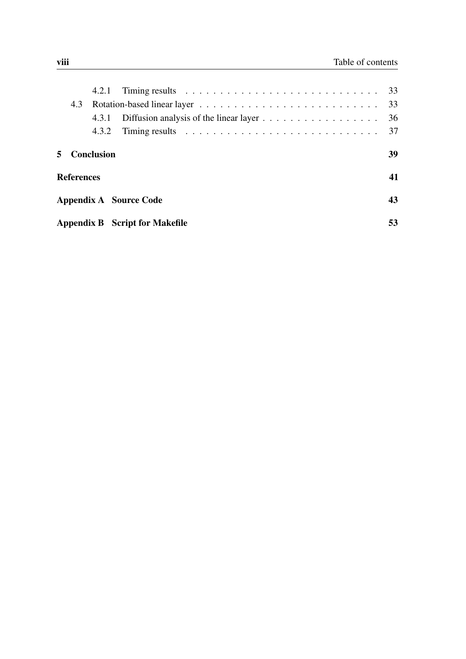|    | 4.3               |                   |                                                                                                  |    |
|----|-------------------|-------------------|--------------------------------------------------------------------------------------------------|----|
|    |                   |                   |                                                                                                  | 36 |
|    |                   | 4.3.2             | Timing results $\ldots \ldots \ldots \ldots \ldots \ldots \ldots \ldots \ldots \ldots \ldots$ 37 |    |
| 5. |                   | <b>Conclusion</b> |                                                                                                  | 39 |
|    | <b>References</b> |                   |                                                                                                  | 41 |
|    |                   |                   | Appendix A Source Code                                                                           | 43 |
|    |                   |                   | <b>Appendix B</b> Script for Makefile                                                            | 53 |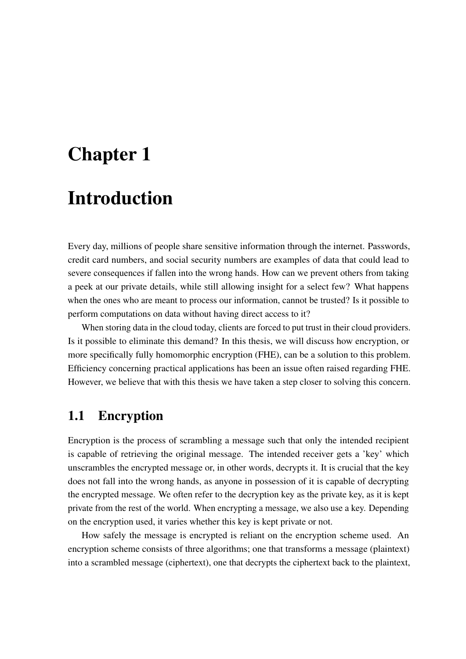# <span id="page-8-0"></span>Chapter 1

# Introduction

Every day, millions of people share sensitive information through the internet. Passwords, credit card numbers, and social security numbers are examples of data that could lead to severe consequences if fallen into the wrong hands. How can we prevent others from taking a peek at our private details, while still allowing insight for a select few? What happens when the ones who are meant to process our information, cannot be trusted? Is it possible to perform computations on data without having direct access to it?

When storing data in the cloud today, clients are forced to put trust in their cloud providers. Is it possible to eliminate this demand? In this thesis, we will discuss how encryption, or more specifically fully homomorphic encryption (FHE), can be a solution to this problem. Efficiency concerning practical applications has been an issue often raised regarding FHE. However, we believe that with this thesis we have taken a step closer to solving this concern.

### <span id="page-8-1"></span>1.1 Encryption

Encryption is the process of scrambling a message such that only the intended recipient is capable of retrieving the original message. The intended receiver gets a 'key' which unscrambles the encrypted message or, in other words, decrypts it. It is crucial that the key does not fall into the wrong hands, as anyone in possession of it is capable of decrypting the encrypted message. We often refer to the decryption key as the private key, as it is kept private from the rest of the world. When encrypting a message, we also use a key. Depending on the encryption used, it varies whether this key is kept private or not.

How safely the message is encrypted is reliant on the encryption scheme used. An encryption scheme consists of three algorithms; one that transforms a message (plaintext) into a scrambled message (ciphertext), one that decrypts the ciphertext back to the plaintext,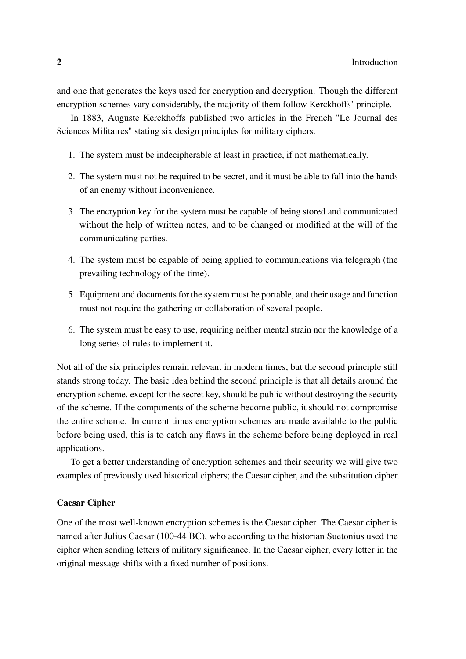and one that generates the keys used for encryption and decryption. Though the different encryption schemes vary considerably, the majority of them follow Kerckhoffs' principle.

In 1883, Auguste Kerckhoffs published two articles in the French "Le Journal des Sciences Militaires" stating six design principles for military ciphers.

- 1. The system must be indecipherable at least in practice, if not mathematically.
- 2. The system must not be required to be secret, and it must be able to fall into the hands of an enemy without inconvenience.
- 3. The encryption key for the system must be capable of being stored and communicated without the help of written notes, and to be changed or modified at the will of the communicating parties.
- 4. The system must be capable of being applied to communications via telegraph (the prevailing technology of the time).
- 5. Equipment and documents for the system must be portable, and their usage and function must not require the gathering or collaboration of several people.
- 6. The system must be easy to use, requiring neither mental strain nor the knowledge of a long series of rules to implement it.

Not all of the six principles remain relevant in modern times, but the second principle still stands strong today. The basic idea behind the second principle is that all details around the encryption scheme, except for the secret key, should be public without destroying the security of the scheme. If the components of the scheme become public, it should not compromise the entire scheme. In current times encryption schemes are made available to the public before being used, this is to catch any flaws in the scheme before being deployed in real applications.

To get a better understanding of encryption schemes and their security we will give two examples of previously used historical ciphers; the Caesar cipher, and the substitution cipher.

#### Caesar Cipher

One of the most well-known encryption schemes is the Caesar cipher. The Caesar cipher is named after Julius Caesar (100-44 BC), who according to the historian Suetonius used the cipher when sending letters of military significance. In the Caesar cipher, every letter in the original message shifts with a fixed number of positions.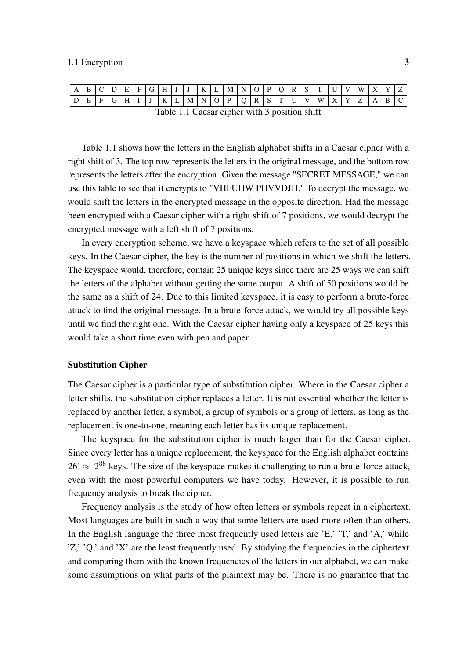<span id="page-10-0"></span>

| $\mathbf{R}$                                          |                                  |               | $\mathbf{F}$ |  | $F \mid G \mid$ |  |  | H I J |  |  | $K$ L $M$ N O P Q |  |  |  | $R$ $S$ $T$ |  | W |  |  |
|-------------------------------------------------------|----------------------------------|---------------|--------------|--|-----------------|--|--|-------|--|--|-------------------|--|--|--|-------------|--|---|--|--|
|                                                       | $\mathbb{Z} \times \mathbf{F}$ . | $\mid G \mid$ |              |  |                 |  |  |       |  |  |                   |  |  |  |             |  |   |  |  |
| $Table 1.1$ $C_{2200}$ eviden with 2 negitian $shift$ |                                  |               |              |  |                 |  |  |       |  |  |                   |  |  |  |             |  |   |  |  |

Table 1.1 Caesar cipher with 3 position shift

Table [1.1](#page-10-0) shows how the letters in the English alphabet shifts in a Caesar cipher with a right shift of 3. The top row represents the letters in the original message, and the bottom row represents the letters after the encryption. Given the message "SECRET MESSAGE," we can use this table to see that it encrypts to "VHFUHW PHVVDJH." To decrypt the message, we would shift the letters in the encrypted message in the opposite direction. Had the message been encrypted with a Caesar cipher with a right shift of 7 positions, we would decrypt the encrypted message with a left shift of 7 positions.

In every encryption scheme, we have a keyspace which refers to the set of all possible keys. In the Caesar cipher, the key is the number of positions in which we shift the letters. The keyspace would, therefore, contain 25 unique keys since there are 25 ways we can shift the letters of the alphabet without getting the same output. A shift of 50 positions would be the same as a shift of 24. Due to this limited keyspace, it is easy to perform a brute-force attack to find the original message. In a brute-force attack, we would try all possible keys until we find the right one. With the Caesar cipher having only a keyspace of 25 keys this would take a short time even with pen and paper.

#### Substitution Cipher

The Caesar cipher is a particular type of substitution cipher. Where in the Caesar cipher a letter shifts, the substitution cipher replaces a letter. It is not essential whether the letter is replaced by another letter, a symbol, a group of symbols or a group of letters, as long as the replacement is one-to-one, meaning each letter has its unique replacement.

The keyspace for the substitution cipher is much larger than for the Caesar cipher. Since every letter has a unique replacement, the keyspace for the English alphabet contains  $26! \approx 2^{88}$  keys. The size of the keyspace makes it challenging to run a brute-force attack, even with the most powerful computers we have today. However, it is possible to run frequency analysis to break the cipher.

Frequency analysis is the study of how often letters or symbols repeat in a ciphertext. Most languages are built in such a way that some letters are used more often than others. In the English language the three most frequently used letters are 'E,' 'T,' and 'A,' while 'Z,' 'Q,' and 'X' are the least frequently used. By studying the frequencies in the ciphertext and comparing them with the known frequencies of the letters in our alphabet, we can make some assumptions on what parts of the plaintext may be. There is no guarantee that the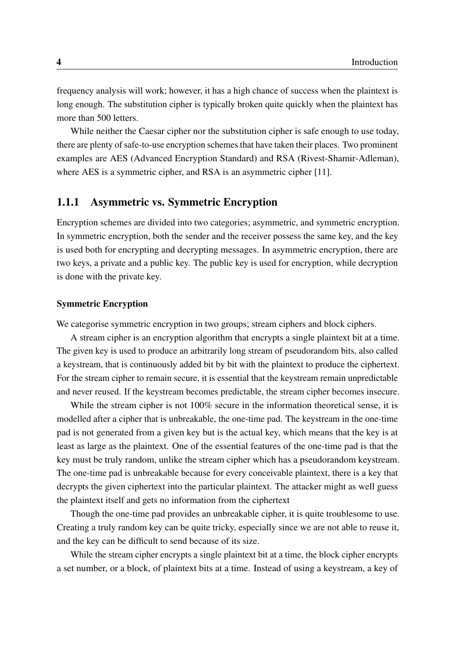frequency analysis will work; however, it has a high chance of success when the plaintext is long enough. The substitution cipher is typically broken quite quickly when the plaintext has more than 500 letters.

While neither the Caesar cipher nor the substitution cipher is safe enough to use today, there are plenty of safe-to-use encryption schemes that have taken their places. Two prominent examples are AES (Advanced Encryption Standard) and RSA (Rivest-Shamir-Adleman), where AES is a symmetric cipher, and RSA is an asymmetric cipher [\[11\]](#page-48-1).

### <span id="page-11-0"></span>1.1.1 Asymmetric vs. Symmetric Encryption

Encryption schemes are divided into two categories; asymmetric, and symmetric encryption. In symmetric encryption, both the sender and the receiver possess the same key, and the key is used both for encrypting and decrypting messages. In asymmetric encryption, there are two keys, a private and a public key. The public key is used for encryption, while decryption is done with the private key.

#### Symmetric Encryption

We categorise symmetric encryption in two groups; stream ciphers and block ciphers.

A stream cipher is an encryption algorithm that encrypts a single plaintext bit at a time. The given key is used to produce an arbitrarily long stream of pseudorandom bits, also called a keystream, that is continuously added bit by bit with the plaintext to produce the ciphertext. For the stream cipher to remain secure, it is essential that the keystream remain unpredictable and never reused. If the keystream becomes predictable, the stream cipher becomes insecure.

While the stream cipher is not 100% secure in the information theoretical sense, it is modelled after a cipher that is unbreakable, the one-time pad. The keystream in the one-time pad is not generated from a given key but is the actual key, which means that the key is at least as large as the plaintext. One of the essential features of the one-time pad is that the key must be truly random, unlike the stream cipher which has a pseudorandom keystream. The one-time pad is unbreakable because for every conceivable plaintext, there is a key that decrypts the given ciphertext into the particular plaintext. The attacker might as well guess the plaintext itself and gets no information from the ciphertext

Though the one-time pad provides an unbreakable cipher, it is quite troublesome to use. Creating a truly random key can be quite tricky, especially since we are not able to reuse it, and the key can be difficult to send because of its size.

While the stream cipher encrypts a single plaintext bit at a time, the block cipher encrypts a set number, or a block, of plaintext bits at a time. Instead of using a keystream, a key of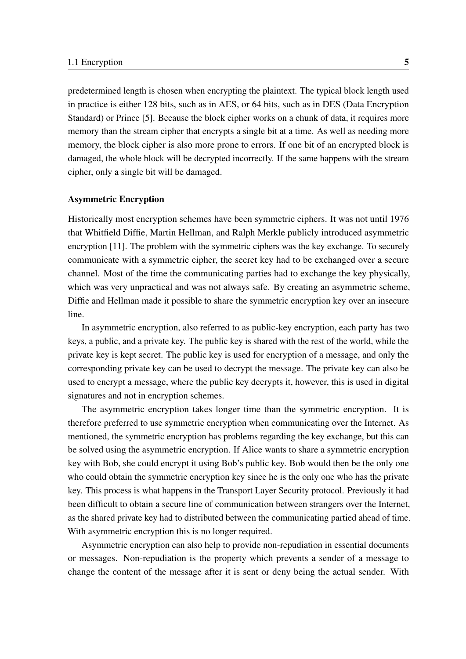predetermined length is chosen when encrypting the plaintext. The typical block length used in practice is either 128 bits, such as in AES, or 64 bits, such as in DES (Data Encryption Standard) or Prince [\[5\]](#page-48-2). Because the block cipher works on a chunk of data, it requires more memory than the stream cipher that encrypts a single bit at a time. As well as needing more memory, the block cipher is also more prone to errors. If one bit of an encrypted block is damaged, the whole block will be decrypted incorrectly. If the same happens with the stream cipher, only a single bit will be damaged.

#### Asymmetric Encryption

Historically most encryption schemes have been symmetric ciphers. It was not until 1976 that Whitfield Diffie, Martin Hellman, and Ralph Merkle publicly introduced asymmetric encryption [\[11\]](#page-48-1). The problem with the symmetric ciphers was the key exchange. To securely communicate with a symmetric cipher, the secret key had to be exchanged over a secure channel. Most of the time the communicating parties had to exchange the key physically, which was very unpractical and was not always safe. By creating an asymmetric scheme, Diffie and Hellman made it possible to share the symmetric encryption key over an insecure line.

In asymmetric encryption, also referred to as public-key encryption, each party has two keys, a public, and a private key. The public key is shared with the rest of the world, while the private key is kept secret. The public key is used for encryption of a message, and only the corresponding private key can be used to decrypt the message. The private key can also be used to encrypt a message, where the public key decrypts it, however, this is used in digital signatures and not in encryption schemes.

The asymmetric encryption takes longer time than the symmetric encryption. It is therefore preferred to use symmetric encryption when communicating over the Internet. As mentioned, the symmetric encryption has problems regarding the key exchange, but this can be solved using the asymmetric encryption. If Alice wants to share a symmetric encryption key with Bob, she could encrypt it using Bob's public key. Bob would then be the only one who could obtain the symmetric encryption key since he is the only one who has the private key. This process is what happens in the Transport Layer Security protocol. Previously it had been difficult to obtain a secure line of communication between strangers over the Internet, as the shared private key had to distributed between the communicating partied ahead of time. With asymmetric encryption this is no longer required.

Asymmetric encryption can also help to provide non-repudiation in essential documents or messages. Non-repudiation is the property which prevents a sender of a message to change the content of the message after it is sent or deny being the actual sender. With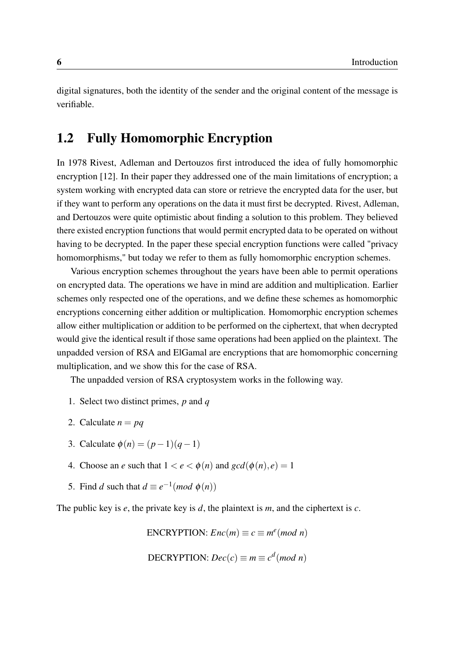digital signatures, both the identity of the sender and the original content of the message is verifiable.

### <span id="page-13-0"></span>1.2 Fully Homomorphic Encryption

In 1978 Rivest, Adleman and Dertouzos first introduced the idea of fully homomorphic encryption [\[12\]](#page-48-3). In their paper they addressed one of the main limitations of encryption; a system working with encrypted data can store or retrieve the encrypted data for the user, but if they want to perform any operations on the data it must first be decrypted. Rivest, Adleman, and Dertouzos were quite optimistic about finding a solution to this problem. They believed there existed encryption functions that would permit encrypted data to be operated on without having to be decrypted. In the paper these special encryption functions were called "privacy homomorphisms," but today we refer to them as fully homomorphic encryption schemes.

Various encryption schemes throughout the years have been able to permit operations on encrypted data. The operations we have in mind are addition and multiplication. Earlier schemes only respected one of the operations, and we define these schemes as homomorphic encryptions concerning either addition or multiplication. Homomorphic encryption schemes allow either multiplication or addition to be performed on the ciphertext, that when decrypted would give the identical result if those same operations had been applied on the plaintext. The unpadded version of RSA and ElGamal are encryptions that are homomorphic concerning multiplication, and we show this for the case of RSA.

The unpadded version of RSA cryptosystem works in the following way.

- 1. Select two distinct primes, *p* and *q*
- 2. Calculate  $n = pq$
- 3. Calculate  $\phi(n) = (p-1)(q-1)$
- 4. Choose an *e* such that  $1 < e < \phi(n)$  and  $gcd(\phi(n), e) = 1$
- 5. Find *d* such that  $d \equiv e^{-1} (mod \phi(n))$

The public key is *e*, the private key is *d*, the plaintext is *m*, and the ciphertext is *c*.

ENCRYPTION:  $Enc(m) \equiv c \equiv m^e (mod \ n)$ 

$$
DECRYPTION: Dec(c) \equiv m \equiv c^d (mod \; n)
$$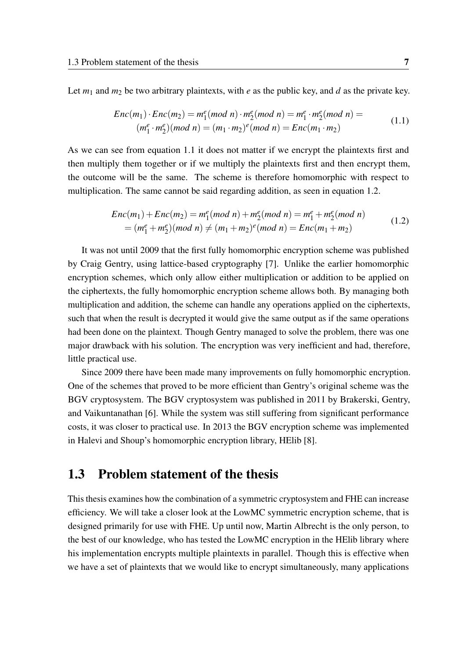Let  $m_1$  and  $m_2$  be two arbitrary plaintexts, with *e* as the public key, and *d* as the private key.

<span id="page-14-1"></span>
$$
Enc(m_1) \cdot Enc(m_2) = m_1^e (mod\ n) \cdot m_2^e (mod\ n) = m_1^e \cdot m_2^e (mod\ n) =
$$
  
\n
$$
(m_1^e \cdot m_2^e) (mod\ n) = (m_1 \cdot m_2)^e (mod\ n) = Enc(m_1 \cdot m_2)
$$
 (1.1)

As we can see from equation [1.1](#page-14-1) it does not matter if we encrypt the plaintexts first and then multiply them together or if we multiply the plaintexts first and then encrypt them, the outcome will be the same. The scheme is therefore homomorphic with respect to multiplication. The same cannot be said regarding addition, as seen in equation [1.2.](#page-14-2)

<span id="page-14-2"></span>
$$
Enc(m_1) + Enc(m_2) = m_1^e (mod\ n) + m_2^e (mod\ n) = m_1^e + m_2^e (mod\ n)
$$
  
=  $(m_1^e + m_2^e)(mod\ n) \ne (m_1 + m_2)^e (mod\ n) = Enc(m_1 + m_2)$  (1.2)

It was not until 2009 that the first fully homomorphic encryption scheme was published by Craig Gentry, using lattice-based cryptography [\[7\]](#page-48-4). Unlike the earlier homomorphic encryption schemes, which only allow either multiplication or addition to be applied on the ciphertexts, the fully homomorphic encryption scheme allows both. By managing both multiplication and addition, the scheme can handle any operations applied on the ciphertexts, such that when the result is decrypted it would give the same output as if the same operations had been done on the plaintext. Though Gentry managed to solve the problem, there was one major drawback with his solution. The encryption was very inefficient and had, therefore, little practical use.

Since 2009 there have been made many improvements on fully homomorphic encryption. One of the schemes that proved to be more efficient than Gentry's original scheme was the BGV cryptosystem. The BGV cryptosystem was published in 2011 by Brakerski, Gentry, and Vaikuntanathan [\[6\]](#page-48-5). While the system was still suffering from significant performance costs, it was closer to practical use. In 2013 the BGV encryption scheme was implemented in Halevi and Shoup's homomorphic encryption library, HElib [\[8\]](#page-48-6).

### <span id="page-14-0"></span>1.3 Problem statement of the thesis

This thesis examines how the combination of a symmetric cryptosystem and FHE can increase efficiency. We will take a closer look at the LowMC symmetric encryption scheme, that is designed primarily for use with FHE. Up until now, Martin Albrecht is the only person, to the best of our knowledge, who has tested the LowMC encryption in the HElib library where his implementation encrypts multiple plaintexts in parallel. Though this is effective when we have a set of plaintexts that we would like to encrypt simultaneously, many applications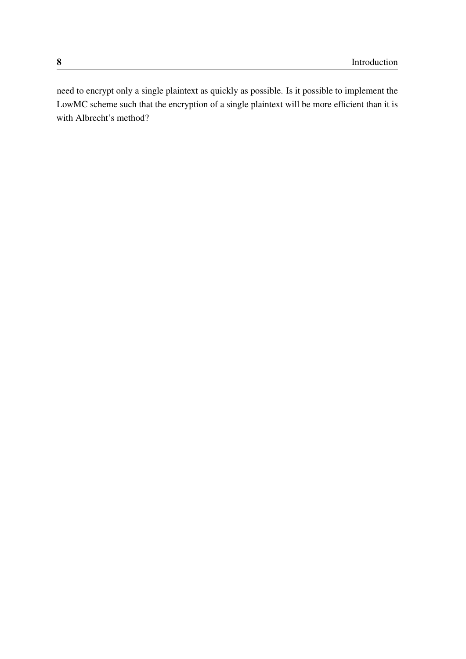need to encrypt only a single plaintext as quickly as possible. Is it possible to implement the LowMC scheme such that the encryption of a single plaintext will be more efficient than it is with Albrecht's method?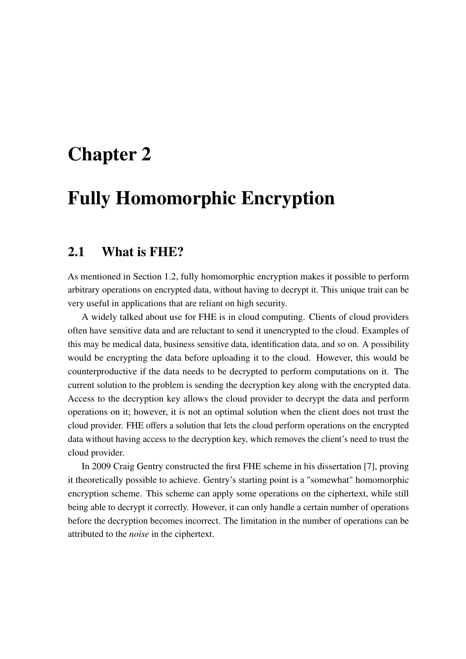## <span id="page-16-0"></span>Chapter 2

# Fully Homomorphic Encryption

### <span id="page-16-1"></span>2.1 What is FHE?

As mentioned in Section [1.2,](#page-13-0) fully homomorphic encryption makes it possible to perform arbitrary operations on encrypted data, without having to decrypt it. This unique trait can be very useful in applications that are reliant on high security.

A widely talked about use for FHE is in cloud computing. Clients of cloud providers often have sensitive data and are reluctant to send it unencrypted to the cloud. Examples of this may be medical data, business sensitive data, identification data, and so on. A possibility would be encrypting the data before uploading it to the cloud. However, this would be counterproductive if the data needs to be decrypted to perform computations on it. The current solution to the problem is sending the decryption key along with the encrypted data. Access to the decryption key allows the cloud provider to decrypt the data and perform operations on it; however, it is not an optimal solution when the client does not trust the cloud provider. FHE offers a solution that lets the cloud perform operations on the encrypted data without having access to the decryption key, which removes the client's need to trust the cloud provider.

In 2009 Craig Gentry constructed the first FHE scheme in his dissertation [\[7\]](#page-48-4), proving it theoretically possible to achieve. Gentry's starting point is a "somewhat" homomorphic encryption scheme. This scheme can apply some operations on the ciphertext, while still being able to decrypt it correctly. However, it can only handle a certain number of operations before the decryption becomes incorrect. The limitation in the number of operations can be attributed to the *noise* in the ciphertext.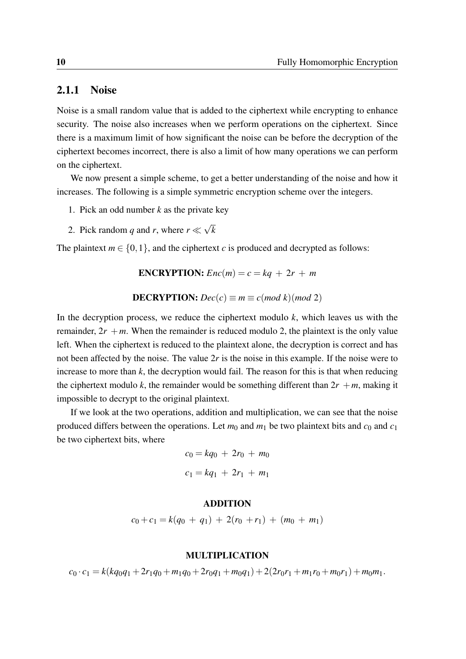### <span id="page-17-0"></span>2.1.1 Noise

Noise is a small random value that is added to the ciphertext while encrypting to enhance security. The noise also increases when we perform operations on the ciphertext. Since there is a maximum limit of how significant the noise can be before the decryption of the ciphertext becomes incorrect, there is also a limit of how many operations we can perform on the ciphertext.

We now present a simple scheme, to get a better understanding of the noise and how it increases. The following is a simple symmetric encryption scheme over the integers.

- 1. Pick an odd number *k* as the private key
- 2. Pick random *q* and *r*, where *r* ≪ √ *k*

The plaintext  $m \in \{0, 1\}$ , and the ciphertext *c* is produced and decrypted as follows:

**ENCRYPTION:**  $Enc(m) = c = kq + 2r + m$ 

**DECRYPITION:** 
$$
Dec(c) \equiv m \equiv c \pmod{k} \pmod{2}
$$

In the decryption process, we reduce the ciphertext modulo  $k$ , which leaves us with the remainder,  $2r + m$ . When the remainder is reduced modulo 2, the plaintext is the only value left. When the ciphertext is reduced to the plaintext alone, the decryption is correct and has not been affected by the noise. The value 2*r* is the noise in this example. If the noise were to increase to more than  $k$ , the decryption would fail. The reason for this is that when reducing the ciphertext modulo *k*, the remainder would be something different than  $2r + m$ , making it impossible to decrypt to the original plaintext.

If we look at the two operations, addition and multiplication, we can see that the noise produced differs between the operations. Let  $m_0$  and  $m_1$  be two plaintext bits and  $c_0$  and  $c_1$ be two ciphertext bits, where

$$
c_0 = kq_0 + 2r_0 + m_0
$$

$$
c_1 = kq_1 + 2r_1 + m_1
$$

#### ADDITION

$$
c_0+c_1=k(q_0+q_1)+2(r_0+r_1)+(m_0+m_1)
$$

#### MULTIPLICATION

 $c_0 \cdot c_1 = k(kq_0q_1 + 2r_1q_0 + m_1q_0 + 2r_0q_1 + m_0q_1) + 2(2r_0r_1 + m_1r_0 + m_0r_1) + m_0m_1$ .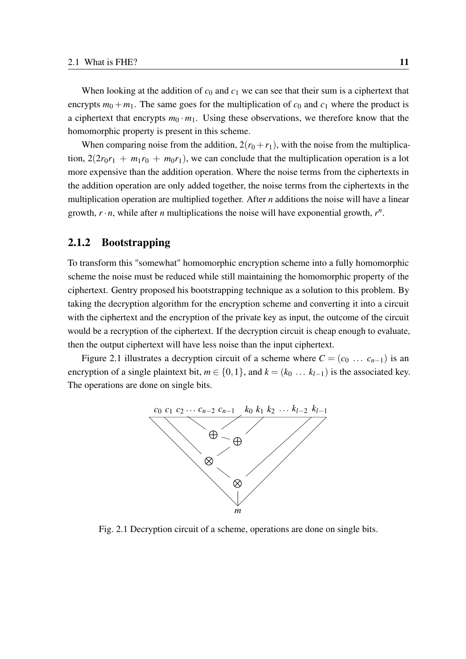When looking at the addition of  $c_0$  and  $c_1$  we can see that their sum is a ciphertext that encrypts  $m_0 + m_1$ . The same goes for the multiplication of  $c_0$  and  $c_1$  where the product is a ciphertext that encrypts  $m_0 \cdot m_1$ . Using these observations, we therefore know that the homomorphic property is present in this scheme.

When comparing noise from the addition,  $2(r_0 + r_1)$ , with the noise from the multiplication,  $2(2r_0r_1 + m_1r_0 + m_0r_1)$ , we can conclude that the multiplication operation is a lot more expensive than the addition operation. Where the noise terms from the ciphertexts in the addition operation are only added together, the noise terms from the ciphertexts in the multiplication operation are multiplied together. After *n* additions the noise will have a linear growth,  $r \cdot n$ , while after *n* multiplications the noise will have exponential growth,  $r^n$ .

#### <span id="page-18-0"></span>2.1.2 Bootstrapping

To transform this "somewhat" homomorphic encryption scheme into a fully homomorphic scheme the noise must be reduced while still maintaining the homomorphic property of the ciphertext. Gentry proposed his bootstrapping technique as a solution to this problem. By taking the decryption algorithm for the encryption scheme and converting it into a circuit with the ciphertext and the encryption of the private key as input, the outcome of the circuit would be a recryption of the ciphertext. If the decryption circuit is cheap enough to evaluate, then the output ciphertext will have less noise than the input ciphertext.

<span id="page-18-1"></span>Figure [2.1](#page-18-1) illustrates a decryption circuit of a scheme where  $C = (c_0 \ldots c_{n-1})$  is an encryption of a single plaintext bit,  $m \in \{0, 1\}$ , and  $k = (k_0 \dots k_{l-1})$  is the associated key. The operations are done on single bits.



Fig. 2.1 Decryption circuit of a scheme, operations are done on single bits.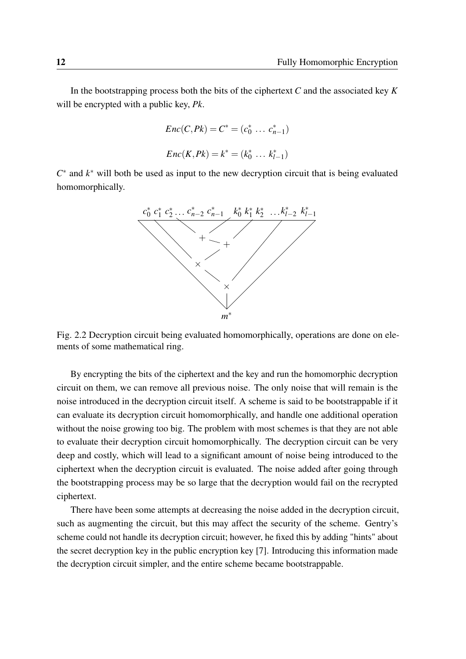In the bootstrapping process both the bits of the ciphertext *C* and the associated key *K* will be encrypted with a public key, *Pk*.

$$
Enc(C, Pk) = C^* = (c_0^* \dots c_{n-1}^*)
$$
  

$$
Enc(K, Pk) = k^* = (k_0^* \dots k_{l-1}^*)
$$

*C*<sup>∗</sup> and  $k$ <sup>∗</sup> will both be used as input to the new decryption circuit that is being evaluated homomorphically.



Fig. 2.2 Decryption circuit being evaluated homomorphically, operations are done on elements of some mathematical ring.

By encrypting the bits of the ciphertext and the key and run the homomorphic decryption circuit on them, we can remove all previous noise. The only noise that will remain is the noise introduced in the decryption circuit itself. A scheme is said to be bootstrappable if it can evaluate its decryption circuit homomorphically, and handle one additional operation without the noise growing too big. The problem with most schemes is that they are not able to evaluate their decryption circuit homomorphically. The decryption circuit can be very deep and costly, which will lead to a significant amount of noise being introduced to the ciphertext when the decryption circuit is evaluated. The noise added after going through the bootstrapping process may be so large that the decryption would fail on the recrypted ciphertext.

There have been some attempts at decreasing the noise added in the decryption circuit, such as augmenting the circuit, but this may affect the security of the scheme. Gentry's scheme could not handle its decryption circuit; however, he fixed this by adding "hints" about the secret decryption key in the public encryption key [\[7\]](#page-48-4). Introducing this information made the decryption circuit simpler, and the entire scheme became bootstrappable.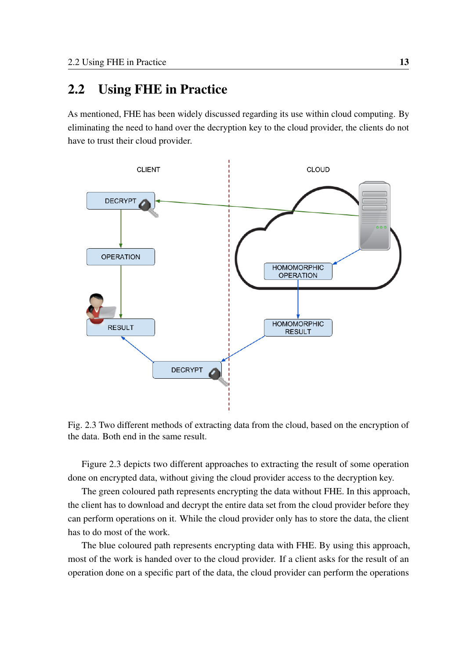### <span id="page-20-0"></span>2.2 Using FHE in Practice

As mentioned, FHE has been widely discussed regarding its use within cloud computing. By eliminating the need to hand over the decryption key to the cloud provider, the clients do not have to trust their cloud provider.

<span id="page-20-1"></span>

Fig. 2.3 Two different methods of extracting data from the cloud, based on the encryption of the data. Both end in the same result.

Figure [2.3](#page-20-1) depicts two different approaches to extracting the result of some operation done on encrypted data, without giving the cloud provider access to the decryption key.

The green coloured path represents encrypting the data without FHE. In this approach, the client has to download and decrypt the entire data set from the cloud provider before they can perform operations on it. While the cloud provider only has to store the data, the client has to do most of the work.

The blue coloured path represents encrypting data with FHE. By using this approach, most of the work is handed over to the cloud provider. If a client asks for the result of an operation done on a specific part of the data, the cloud provider can perform the operations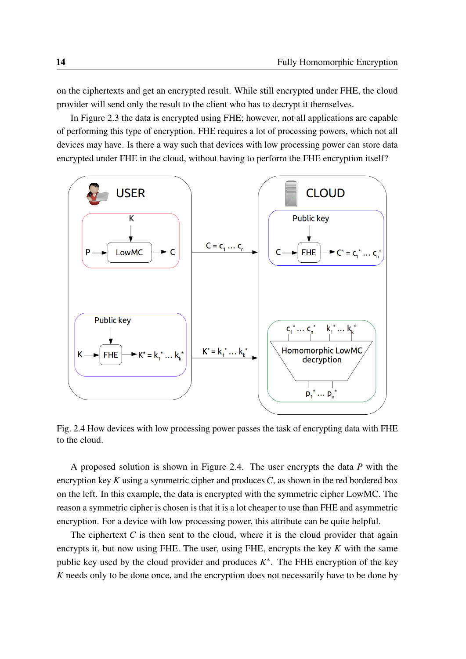on the ciphertexts and get an encrypted result. While still encrypted under FHE, the cloud provider will send only the result to the client who has to decrypt it themselves.

In Figure [2.3](#page-20-1) the data is encrypted using FHE; however, not all applications are capable of performing this type of encryption. FHE requires a lot of processing powers, which not all devices may have. Is there a way such that devices with low processing power can store data encrypted under FHE in the cloud, without having to perform the FHE encryption itself?

<span id="page-21-0"></span>

Fig. 2.4 How devices with low processing power passes the task of encrypting data with FHE to the cloud.

A proposed solution is shown in Figure [2.4.](#page-21-0) The user encrypts the data *P* with the encryption key *K* using a symmetric cipher and produces *C*, as shown in the red bordered box on the left. In this example, the data is encrypted with the symmetric cipher LowMC. The reason a symmetric cipher is chosen is that it is a lot cheaper to use than FHE and asymmetric encryption. For a device with low processing power, this attribute can be quite helpful.

The ciphertext  $C$  is then sent to the cloud, where it is the cloud provider that again encrypts it, but now using FHE. The user, using FHE, encrypts the key *K* with the same public key used by the cloud provider and produces  $K^*$ . The FHE encryption of the key *K* needs only to be done once, and the encryption does not necessarily have to be done by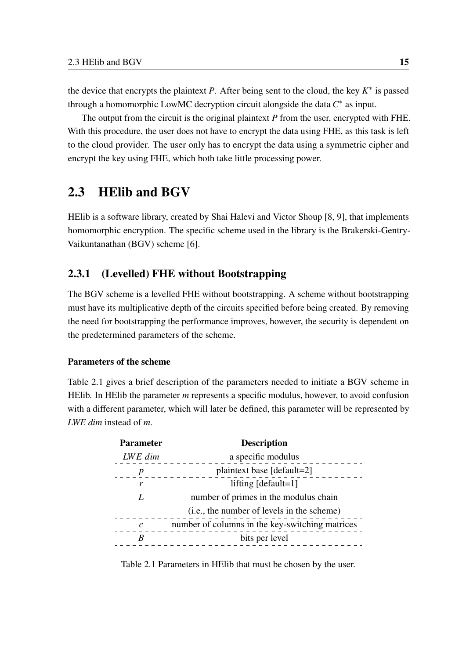the device that encrypts the plaintext *P*. After being sent to the cloud, the key  $K^*$  is passed through a homomorphic LowMC decryption circuit alongside the data  $C^*$  as input.

The output from the circuit is the original plaintext *P* from the user, encrypted with FHE. With this procedure, the user does not have to encrypt the data using FHE, as this task is left to the cloud provider. The user only has to encrypt the data using a symmetric cipher and encrypt the key using FHE, which both take little processing power.

### <span id="page-22-0"></span>2.3 HElib and BGV

HElib is a software library, created by Shai Halevi and Victor Shoup [\[8,](#page-48-6) [9\]](#page-48-7), that implements homomorphic encryption. The specific scheme used in the library is the Brakerski-Gentry-Vaikuntanathan (BGV) scheme [\[6\]](#page-48-5).

### <span id="page-22-1"></span>2.3.1 (Levelled) FHE without Bootstrapping

The BGV scheme is a levelled FHE without bootstrapping. A scheme without bootstrapping must have its multiplicative depth of the circuits specified before being created. By removing the need for bootstrapping the performance improves, however, the security is dependent on the predetermined parameters of the scheme.

#### Parameters of the scheme

Table [2.1](#page-22-2) gives a brief description of the parameters needed to initiate a BGV scheme in HElib. In HElib the parameter *m* represents a specific modulus, however, to avoid confusion with a different parameter, which will later be defined, this parameter will be represented by *LWE dim* instead of *m*.

<span id="page-22-2"></span>

| <b>Parameter</b> | <b>Description</b>                              |
|------------------|-------------------------------------------------|
| LWE dim          | a specific modulus                              |
| $\boldsymbol{p}$ | plaintext base [default=2]                      |
| r                | lifting $[default=1]$                           |
| L                | number of primes in the modulus chain           |
|                  | (i.e., the number of levels in the scheme)      |
| $\mathcal{C}$    | number of columns in the key-switching matrices |
| R                | bits per level                                  |
|                  |                                                 |

Table 2.1 Parameters in HElib that must be chosen by the user.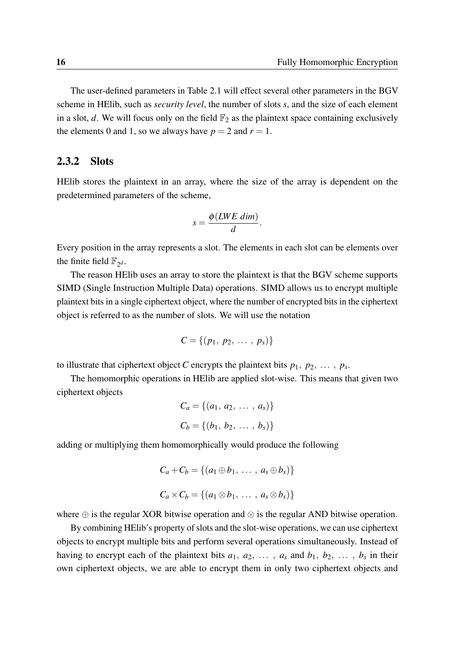The user-defined parameters in Table [2.1](#page-22-2) will effect several other parameters in the BGV scheme in HElib, such as *security level*, the number of slots *s*, and the size of each element in a slot, *d*. We will focus only on the field  $\mathbb{F}_2$  as the plaintext space containing exclusively the elements 0 and 1, so we always have  $p = 2$  and  $r = 1$ .

#### <span id="page-23-0"></span>2.3.2 Slots

HElib stores the plaintext in an array, where the size of the array is dependent on the predetermined parameters of the scheme,

$$
s = \frac{\phi(LWE\ dim)}{d}.
$$

Every position in the array represents a slot. The elements in each slot can be elements over the finite field  $\mathbb{F}_{2^d}$ .

The reason HElib uses an array to store the plaintext is that the BGV scheme supports SIMD (Single Instruction Multiple Data) operations. SIMD allows us to encrypt multiple plaintext bits in a single ciphertext object, where the number of encrypted bits in the ciphertext object is referred to as the number of slots. We will use the notation

$$
C = \{(p_1, p_2, \ldots, p_s)\}
$$

to illustrate that ciphertext object *C* encrypts the plaintext bits  $p_1, p_2, \ldots, p_s$ .

The homomorphic operations in HElib are applied slot-wise. This means that given two ciphertext objects

$$
C_a = \{(a_1, a_2, \ldots, a_s)\}
$$
  

$$
C_b = \{(b_1, b_2, \ldots, b_s)\}
$$

adding or multiplying them homomorphically would produce the following

$$
C_a + C_b = \{(a_1 \oplus b_1, \ldots, a_s \oplus b_s)\}
$$
  

$$
C_a \times C_b = \{(a_1 \otimes b_1, \ldots, a_s \otimes b_s)\}
$$

where  $\oplus$  is the regular XOR bitwise operation and  $\otimes$  is the regular AND bitwise operation.

By combining HElib's property of slots and the slot-wise operations, we can use ciphertext objects to encrypt multiple bits and perform several operations simultaneously. Instead of having to encrypt each of the plaintext bits  $a_1, a_2, \ldots, a_s$  and  $b_1, b_2, \ldots, b_s$  in their own ciphertext objects, we are able to encrypt them in only two ciphertext objects and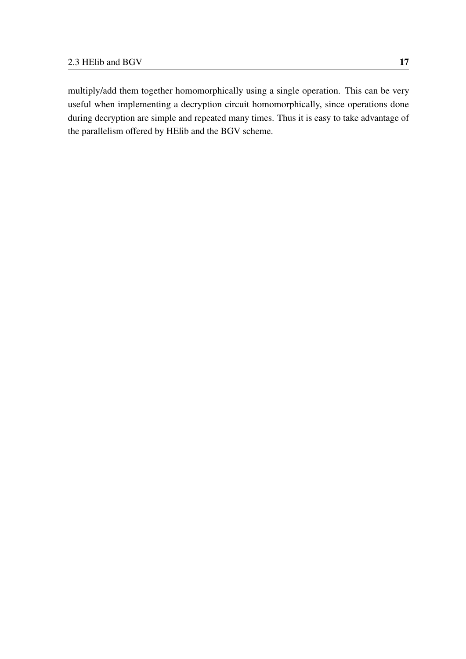multiply/add them together homomorphically using a single operation. This can be very useful when implementing a decryption circuit homomorphically, since operations done during decryption are simple and repeated many times. Thus it is easy to take advantage of the parallelism offered by HElib and the BGV scheme.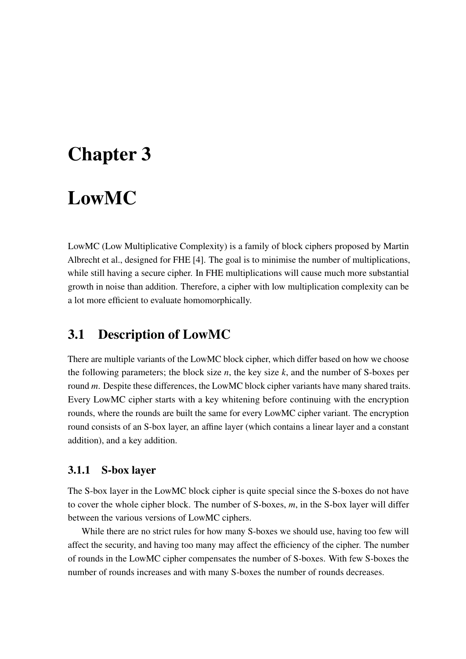# <span id="page-26-0"></span>Chapter 3

# LowMC

LowMC (Low Multiplicative Complexity) is a family of block ciphers proposed by Martin Albrecht et al., designed for FHE [\[4\]](#page-48-8). The goal is to minimise the number of multiplications, while still having a secure cipher. In FHE multiplications will cause much more substantial growth in noise than addition. Therefore, a cipher with low multiplication complexity can be a lot more efficient to evaluate homomorphically.

### <span id="page-26-1"></span>3.1 Description of LowMC

There are multiple variants of the LowMC block cipher, which differ based on how we choose the following parameters; the block size *n*, the key size *k*, and the number of S-boxes per round *m*. Despite these differences, the LowMC block cipher variants have many shared traits. Every LowMC cipher starts with a key whitening before continuing with the encryption rounds, where the rounds are built the same for every LowMC cipher variant. The encryption round consists of an S-box layer, an affine layer (which contains a linear layer and a constant addition), and a key addition.

### <span id="page-26-2"></span>3.1.1 S-box layer

The S-box layer in the LowMC block cipher is quite special since the S-boxes do not have to cover the whole cipher block. The number of S-boxes, *m*, in the S-box layer will differ between the various versions of LowMC ciphers.

While there are no strict rules for how many S-boxes we should use, having too few will affect the security, and having too many may affect the efficiency of the cipher. The number of rounds in the LowMC cipher compensates the number of S-boxes. With few S-boxes the number of rounds increases and with many S-boxes the number of rounds decreases.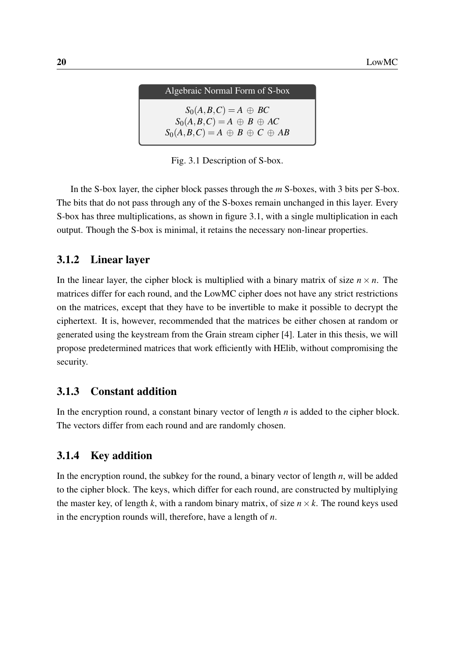| Algebraic Normal Form of S-box                                                                                          |  |
|-------------------------------------------------------------------------------------------------------------------------|--|
| $S_0(A, B, C) = A \oplus BC$<br>$S_0(A, B, C) = A \oplus B \oplus AC$<br>$S_0(A, B, C) = A \oplus B \oplus C \oplus AB$ |  |

Fig. 3.1 Description of S-box.

In the S-box layer, the cipher block passes through the *m* S-boxes, with 3 bits per S-box. The bits that do not pass through any of the S-boxes remain unchanged in this layer. Every S-box has three multiplications, as shown in figure 3.1, with a single multiplication in each output. Though the S-box is minimal, it retains the necessary non-linear properties.

### <span id="page-27-0"></span>3.1.2 Linear layer

In the linear layer, the cipher block is multiplied with a binary matrix of size  $n \times n$ . The matrices differ for each round, and the LowMC cipher does not have any strict restrictions on the matrices, except that they have to be invertible to make it possible to decrypt the ciphertext. It is, however, recommended that the matrices be either chosen at random or generated using the keystream from the Grain stream cipher [\[4\]](#page-48-8). Later in this thesis, we will propose predetermined matrices that work efficiently with HElib, without compromising the security.

### <span id="page-27-1"></span>3.1.3 Constant addition

In the encryption round, a constant binary vector of length *n* is added to the cipher block. The vectors differ from each round and are randomly chosen.

### <span id="page-27-2"></span>3.1.4 Key addition

In the encryption round, the subkey for the round, a binary vector of length *n*, will be added to the cipher block. The keys, which differ for each round, are constructed by multiplying the master key, of length *k*, with a random binary matrix, of size  $n \times k$ . The round keys used in the encryption rounds will, therefore, have a length of *n*.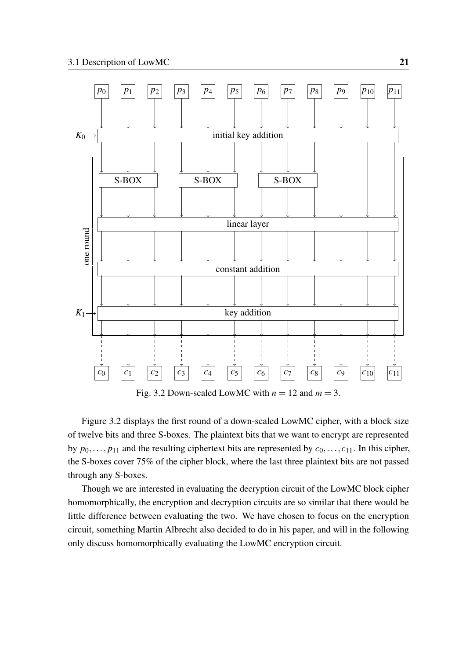<span id="page-28-0"></span>

Fig. 3.2 Down-scaled LowMC with  $n = 12$  and  $m = 3$ .

Figure [3.2](#page-28-0) displays the first round of a down-scaled LowMC cipher, with a block size of twelve bits and three S-boxes. The plaintext bits that we want to encrypt are represented by  $p_0, \ldots, p_{11}$  and the resulting ciphertext bits are represented by  $c_0, \ldots, c_{11}$ . In this cipher, the S-boxes cover 75% of the cipher block, where the last three plaintext bits are not passed through any S-boxes.

Though we are interested in evaluating the decryption circuit of the LowMC block cipher homomorphically, the encryption and decryption circuits are so similar that there would be little difference between evaluating the two. We have chosen to focus on the encryption circuit, something Martin Albrecht also decided to do in his paper, and will in the following only discuss homomorphically evaluating the LowMC encryption circuit.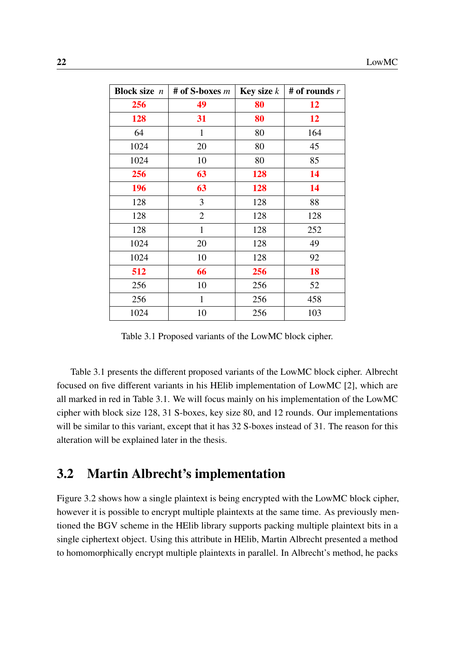<span id="page-29-1"></span>

| <b>Block size</b> $n$ | # of S-boxes $m$ | <b>Key size</b> $k$ | # of rounds $r$ |
|-----------------------|------------------|---------------------|-----------------|
| 256                   | 49               | 80                  | 12              |
| 128                   | 31               | 80                  | 12              |
| 64                    | 1                | 80                  | 164             |
| 1024                  | 20               | 80                  | 45              |
| 1024                  | 10               | 80                  | 85              |
| 256                   | 63               | 128                 | 14              |
| 196                   | 63               | 128                 | 14              |
| 128                   | 3                | 128                 | 88              |
| 128                   | $\overline{2}$   | 128                 | 128             |
| 128                   | $\mathbf{1}$     | 128                 | 252             |
| 1024                  | 20               | 128                 | 49              |
| 1024                  | 10               | 128                 | 92              |
| 512                   | 66               | 256                 | 18              |
| 256                   | 10               | 256                 | 52              |
| 256                   | $\mathbf{1}$     | 256                 | 458             |
| 1024                  | 10               | 256                 | 103             |

Table 3.1 Proposed variants of the LowMC block cipher.

Table [3.1](#page-29-1) presents the different proposed variants of the LowMC block cipher. Albrecht focused on five different variants in his HElib implementation of LowMC [\[2\]](#page-48-9), which are all marked in red in Table [3.1.](#page-29-1) We will focus mainly on his implementation of the LowMC cipher with block size 128, 31 S-boxes, key size 80, and 12 rounds. Our implementations will be similar to this variant, except that it has 32 S-boxes instead of 31. The reason for this alteration will be explained later in the thesis.

### <span id="page-29-0"></span>3.2 Martin Albrecht's implementation

Figure [3.2](#page-28-0) shows how a single plaintext is being encrypted with the LowMC block cipher, however it is possible to encrypt multiple plaintexts at the same time. As previously mentioned the BGV scheme in the HElib library supports packing multiple plaintext bits in a single ciphertext object. Using this attribute in HElib, Martin Albrecht presented a method to homomorphically encrypt multiple plaintexts in parallel. In Albrecht's method, he packs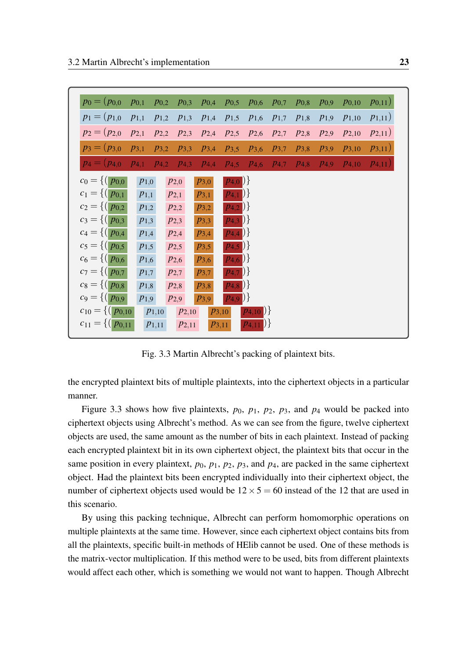<span id="page-30-0"></span>

| $p_0 = (p_{0,0})$                                            | $p_{0,1}$            | $p_{0,2}$  | $p_{0,3}$            | $p_{0,4}$ | $p_{0,5}$                | $p_{0,6}$        | $p_{0,7}$ | $p_{0,8}$ | $p_{0,9}$ | $p_{0,10}$ | $(p_{0,11})$ |
|--------------------------------------------------------------|----------------------|------------|----------------------|-----------|--------------------------|------------------|-----------|-----------|-----------|------------|--------------|
| $p_1 = (p_{1,0})$                                            | $p_{1,1}$            | $p_{1,2}$  | $p_{1,3}$            | $p_{1,4}$ | $p_{1,5}$                | $p_{1,6}$        | $p_{1,7}$ | $p_{1,8}$ | $p_{1,9}$ | $p_{1,10}$ | $p_{1,11})$  |
| $p_2=(p_{2,0})$                                              | $p_{2,1}$            | $P_{2,2}$  | $p_{2,3}$            | $P_{2,4}$ | $p_{2,5}$                | $p_{2,6}$        | $p_{2,7}$ | $p_{2,8}$ | $p_{2,9}$ | $P_{2,10}$ | $p_{2,11})$  |
| $p_3=(p_{3,0})$                                              | $p_{3,1}$            | $p_{3,2}$  | $p_{3,3}$            | $P_{3,4}$ | $P_{3,5}$                | $p_{3,6}$        | $p_{3,7}$ | $p_{3,8}$ | $p_{3,9}$ | $P_{3,10}$ | $p_{3,11}$   |
| $p_4 = (p_{4,0})$                                            | $\overline{p_{4,1}}$ | $p_{4,2}$  | $\overline{p_{4,3}}$ | $P_{4,4}$ | $p_{4,5}$                | $p_{4,6}$        | $p_{4,7}$ | $P_{4,8}$ | $P_{4,9}$ | $P_{4,10}$ | $p_{4,11})$  |
| $c_0 = \{ (p_{0,0}$                                          | $p_{1,0}$            |            | $p_{2,0}$            | $p_{3,0}$ | $\{p_{4,0}\}\}$          |                  |           |           |           |            |              |
| $c_1 = \{ (p_{0,1}$                                          | $p_{1,1}$            |            | $p_{2,1}$            | $p_{3,1}$ | $\{p_{4,1}\}\}$          |                  |           |           |           |            |              |
| $c_2 = \{ (p_{0,2}$                                          | $p_{1,2}$            |            | $p_{2,2}$            | $p_{3,2}$ | $\overline{p_{4,2}}$ ) } |                  |           |           |           |            |              |
| $c_3 = \{ (   p_{0,3}   )$                                   | $p_{1,3}$            |            | $p_{2,3}$            | $p_{3,3}$ | $\{p_{4,3}\}\}$          |                  |           |           |           |            |              |
| $c_4 = \{ (   p_{0,4}   )$                                   | $p_{1,4}$            |            | $p_{2,4}$            | $p_{3,4}$ | $\{p_{4,4}\}\}$          |                  |           |           |           |            |              |
| $c_5 = \{ (p_{0,5}$                                          | $p_{1,5}$            |            | $p_{2,5}$            | $p_{3,5}$ | $\{p_{4,5}\}\}$          |                  |           |           |           |            |              |
| $c_6 = \left\{ \left( \overline{p_{0,6}} \right)$            | $p_{1,6}$            |            | $p_{2,6}$            | $p_{3,6}$ | $\{p_{4,6}\}\}$          |                  |           |           |           |            |              |
| $c_7 = \left\{ \left(\frac{p_{0,7}}{p_{0,7}}\right)\right\}$ | $p_{1,7}$            |            | $p_{2,7}$            | $p_{3,7}$ | $\overline{p_{4,7}}$ ) } |                  |           |           |           |            |              |
| $c_8 = \left\{ \left( \overline{p_{0,8}} \right)$            | $p_{1,8}$            |            | $p_{2,8}$            | $p_{3,8}$ | $\{p_{4,8}\}\}$          |                  |           |           |           |            |              |
| $c_9 = \left\{ \left(\frac{p_{0,9}}{p_{0,9}}\right)\right\}$ | $p_{1,9}$            |            | $p_{2,9}$            | $p_{3,9}$ | $\{p_{4,9}\}\}$          |                  |           |           |           |            |              |
| $c_{10} = \left\{ \left( \overline{p_{0,10}} \right)$        |                      | $p_{1,10}$ | $P_{2,10}$           |           | P3,10                    | $\{p_{4,10}\}\}$ |           |           |           |            |              |
| $c_{11} = \left\{ \left( \overline{p_{0,11}} \right)$        |                      | $p_{1,11}$ | $P_{2,11}$           |           | P3,11                    | $\{p_{4,11}\}\$  |           |           |           |            |              |

Fig. 3.3 Martin Albrecht's packing of plaintext bits.

the encrypted plaintext bits of multiple plaintexts, into the ciphertext objects in a particular manner.

Figure [3.3](#page-30-0) shows how five plaintexts,  $p_0$ ,  $p_1$ ,  $p_2$ ,  $p_3$ , and  $p_4$  would be packed into ciphertext objects using Albrecht's method. As we can see from the figure, twelve ciphertext objects are used, the same amount as the number of bits in each plaintext. Instead of packing each encrypted plaintext bit in its own ciphertext object, the plaintext bits that occur in the same position in every plaintext,  $p_0$ ,  $p_1$ ,  $p_2$ ,  $p_3$ , and  $p_4$ , are packed in the same ciphertext object. Had the plaintext bits been encrypted individually into their ciphertext object, the number of ciphertext objects used would be  $12 \times 5 = 60$  instead of the 12 that are used in this scenario.

By using this packing technique, Albrecht can perform homomorphic operations on multiple plaintexts at the same time. However, since each ciphertext object contains bits from all the plaintexts, specific built-in methods of HElib cannot be used. One of these methods is the matrix-vector multiplication. If this method were to be used, bits from different plaintexts would affect each other, which is something we would not want to happen. Though Albrecht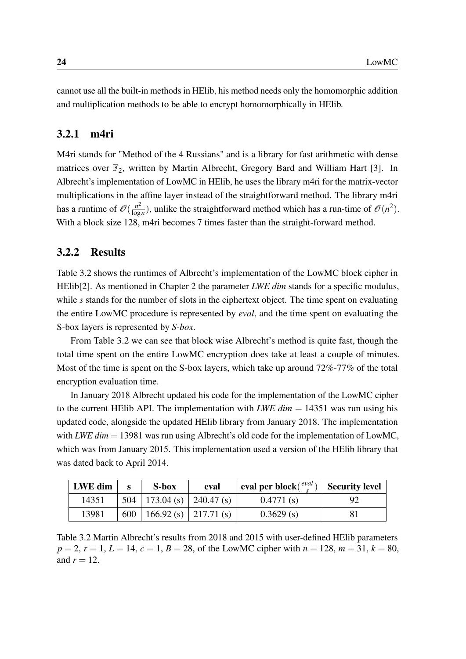cannot use all the built-in methods in HElib, his method needs only the homomorphic addition and multiplication methods to be able to encrypt homomorphically in HElib.

### <span id="page-31-0"></span>3.2.1 m4ri

M4ri stands for "Method of the 4 Russians" and is a library for fast arithmetic with dense matrices over  $\mathbb{F}_2$ , written by Martin Albrecht, Gregory Bard and William Hart [\[3\]](#page-48-10). In Albrecht's implementation of LowMC in HElib, he uses the library m4ri for the matrix-vector multiplications in the affine layer instead of the straightforward method. The library m4ri has a runtime of  $\mathscr{O}(\frac{n^2}{\log n})$  $\frac{n^2}{\log n}$ ), unlike the straightforward method which has a run-time of  $\mathcal{O}(n^2)$ . With a block size 128, m4ri becomes 7 times faster than the straight-forward method.

#### <span id="page-31-1"></span>3.2.2 Results

Table [3.2](#page-31-2) shows the runtimes of Albrecht's implementation of the LowMC block cipher in HEIib<sup>[\[2\]](#page-48-9)</sup>. As mentioned in Chapter 2 the parameter *LWE dim* stands for a specific modulus, while *s* stands for the number of slots in the ciphertext object. The time spent on evaluating the entire LowMC procedure is represented by *eval*, and the time spent on evaluating the S-box layers is represented by *S-box*.

From Table [3.2](#page-31-2) we can see that block wise Albrecht's method is quite fast, though the total time spent on the entire LowMC encryption does take at least a couple of minutes. Most of the time is spent on the S-box layers, which take up around 72%-77% of the total encryption evaluation time.

In January 2018 Albrecht updated his code for the implementation of the LowMC cipher to the current HElib API. The implementation with *LWE dim*  $= 14351$  was run using his updated code, alongside the updated HElib library from January 2018. The implementation with *LWE dim* = 13981 was run using Albrecht's old code for the implementation of LowMC, which was from January 2015. This implementation used a version of the HElib library that was dated back to April 2014.

<span id="page-31-2"></span>

| LWE dim | S-box                           | eval | eval per block $(\frac{eval}{c})$ | Security level |
|---------|---------------------------------|------|-----------------------------------|----------------|
| 14351   | $504$   173.04 (s)   240.47 (s) |      | 0.4771(s)                         | 92             |
| 13981   | 600   166.92 (s)   217.71 (s)   |      | 0.3629(s)                         |                |

Table 3.2 Martin Albrecht's results from 2018 and 2015 with user-defined HElib parameters  $p = 2$ ,  $r = 1$ ,  $L = 14$ ,  $c = 1$ ,  $B = 28$ , of the LowMC cipher with  $n = 128$ ,  $m = 31$ ,  $k = 80$ , and  $r = 12$ .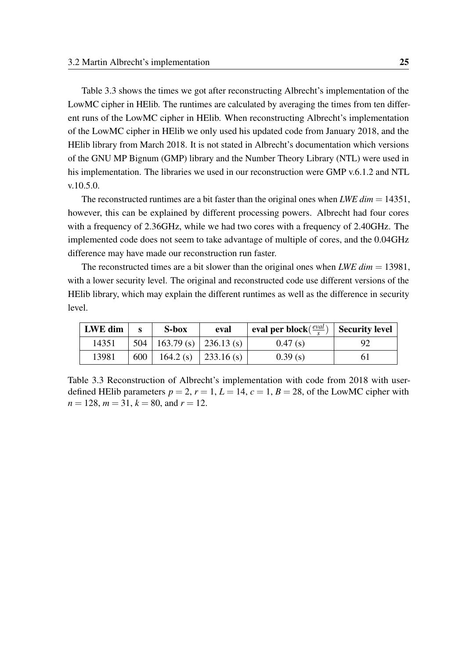Table [3.3](#page-32-0) shows the times we got after reconstructing Albrecht's implementation of the LowMC cipher in HElib. The runtimes are calculated by averaging the times from ten different runs of the LowMC cipher in HElib. When reconstructing Albrecht's implementation of the LowMC cipher in HElib we only used his updated code from January 2018, and the HElib library from March 2018. It is not stated in Albrecht's documentation which versions of the GNU MP Bignum (GMP) library and the Number Theory Library (NTL) were used in his implementation. The libraries we used in our reconstruction were GMP v.6.1.2 and NTL v.10.5.0.

The reconstructed runtimes are a bit faster than the original ones when *LWE dim* = 14351, however, this can be explained by different processing powers. Albrecht had four cores with a frequency of 2.36GHz, while we had two cores with a frequency of 2.40GHz. The implemented code does not seem to take advantage of multiple of cores, and the 0.04GHz difference may have made our reconstruction run faster.

The reconstructed times are a bit slower than the original ones when *LWE dim* = 13981, with a lower security level. The original and reconstructed code use different versions of the HElib library, which may explain the different runtimes as well as the difference in security level.

<span id="page-32-0"></span>

| LWE dim |     | S-box                           | eval | eval per block( $\frac{eval}{s}$ ) | Security level |
|---------|-----|---------------------------------|------|------------------------------------|----------------|
| 14351   |     | $504$   163.79 (s)   236.13 (s) |      | 0.47(s)                            |                |
| 13981   | 600 | $164.2$ (s) $\vert$ 233.16 (s)  |      | 0.39(s)                            |                |

Table 3.3 Reconstruction of Albrecht's implementation with code from 2018 with userdefined HElib parameters  $p = 2$ ,  $r = 1$ ,  $L = 14$ ,  $c = 1$ ,  $B = 28$ , of the LowMC cipher with  $n = 128$ ,  $m = 31$ ,  $k = 80$ , and  $r = 12$ .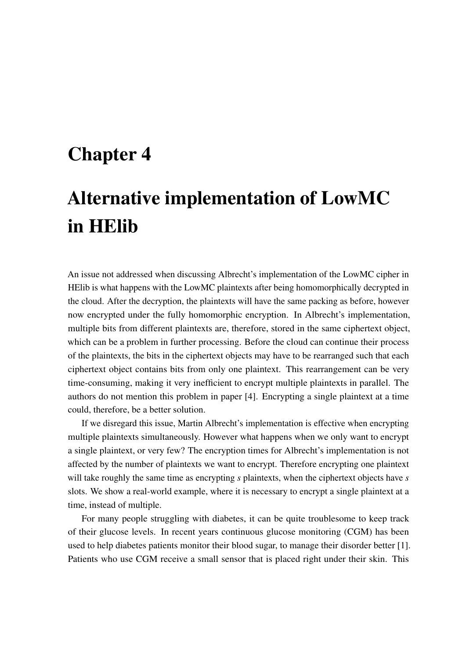# <span id="page-34-0"></span>Chapter 4

# Alternative implementation of LowMC in HElib

An issue not addressed when discussing Albrecht's implementation of the LowMC cipher in HElib is what happens with the LowMC plaintexts after being homomorphically decrypted in the cloud. After the decryption, the plaintexts will have the same packing as before, however now encrypted under the fully homomorphic encryption. In Albrecht's implementation, multiple bits from different plaintexts are, therefore, stored in the same ciphertext object, which can be a problem in further processing. Before the cloud can continue their process of the plaintexts, the bits in the ciphertext objects may have to be rearranged such that each ciphertext object contains bits from only one plaintext. This rearrangement can be very time-consuming, making it very inefficient to encrypt multiple plaintexts in parallel. The authors do not mention this problem in paper [\[4\]](#page-48-8). Encrypting a single plaintext at a time could, therefore, be a better solution.

If we disregard this issue, Martin Albrecht's implementation is effective when encrypting multiple plaintexts simultaneously. However what happens when we only want to encrypt a single plaintext, or very few? The encryption times for Albrecht's implementation is not affected by the number of plaintexts we want to encrypt. Therefore encrypting one plaintext will take roughly the same time as encrypting *s* plaintexts, when the ciphertext objects have *s* slots. We show a real-world example, where it is necessary to encrypt a single plaintext at a time, instead of multiple.

For many people struggling with diabetes, it can be quite troublesome to keep track of their glucose levels. In recent years continuous glucose monitoring (CGM) has been used to help diabetes patients monitor their blood sugar, to manage their disorder better [\[1\]](#page-48-11). Patients who use CGM receive a small sensor that is placed right under their skin. This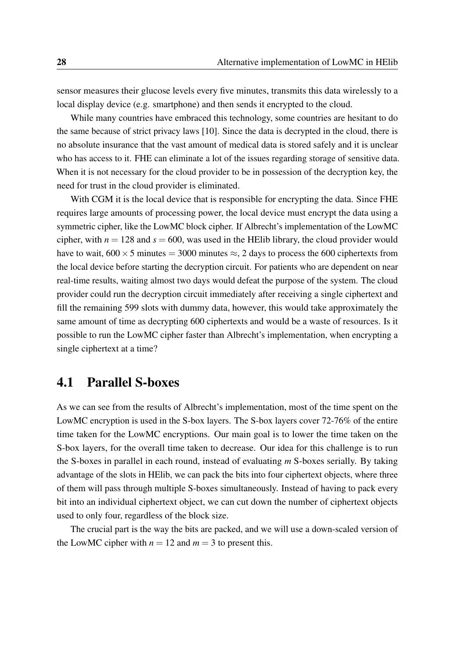sensor measures their glucose levels every five minutes, transmits this data wirelessly to a local display device (e.g. smartphone) and then sends it encrypted to the cloud.

While many countries have embraced this technology, some countries are hesitant to do the same because of strict privacy laws [\[10\]](#page-48-12). Since the data is decrypted in the cloud, there is no absolute insurance that the vast amount of medical data is stored safely and it is unclear who has access to it. FHE can eliminate a lot of the issues regarding storage of sensitive data. When it is not necessary for the cloud provider to be in possession of the decryption key, the need for trust in the cloud provider is eliminated.

With CGM it is the local device that is responsible for encrypting the data. Since FHE requires large amounts of processing power, the local device must encrypt the data using a symmetric cipher, like the LowMC block cipher. If Albrecht's implementation of the LowMC cipher, with  $n = 128$  and  $s = 600$ , was used in the HElib library, the cloud provider would have to wait,  $600 \times 5$  minutes = 3000 minutes  $\approx$ , 2 days to process the 600 ciphertexts from the local device before starting the decryption circuit. For patients who are dependent on near real-time results, waiting almost two days would defeat the purpose of the system. The cloud provider could run the decryption circuit immediately after receiving a single ciphertext and fill the remaining 599 slots with dummy data, however, this would take approximately the same amount of time as decrypting 600 ciphertexts and would be a waste of resources. Is it possible to run the LowMC cipher faster than Albrecht's implementation, when encrypting a single ciphertext at a time?

### <span id="page-35-0"></span>4.1 Parallel S-boxes

As we can see from the results of Albrecht's implementation, most of the time spent on the LowMC encryption is used in the S-box layers. The S-box layers cover 72-76% of the entire time taken for the LowMC encryptions. Our main goal is to lower the time taken on the S-box layers, for the overall time taken to decrease. Our idea for this challenge is to run the S-boxes in parallel in each round, instead of evaluating *m* S-boxes serially. By taking advantage of the slots in HElib, we can pack the bits into four ciphertext objects, where three of them will pass through multiple S-boxes simultaneously. Instead of having to pack every bit into an individual ciphertext object, we can cut down the number of ciphertext objects used to only four, regardless of the block size.

The crucial part is the way the bits are packed, and we will use a down-scaled version of the LowMC cipher with  $n = 12$  and  $m = 3$  to present this.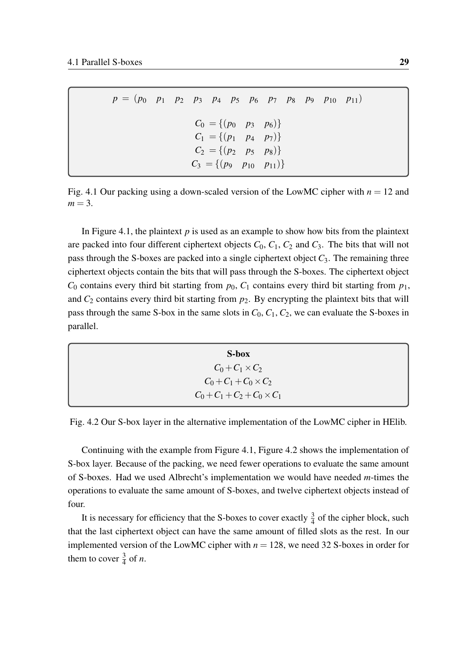<span id="page-36-0"></span>*p* = (*p*<sup>0</sup> *p*<sup>1</sup> *p*<sup>2</sup> *p*<sup>3</sup> *p*<sup>4</sup> *p*<sup>5</sup> *p*<sup>6</sup> *p*<sup>7</sup> *p*<sup>8</sup> *p*<sup>9</sup> *p*<sup>10</sup> *p*11)  $C_0 = \{(p_0 \ p_3 \ p_6)\}$  $C_1 = \{(p_1 \quad p_4 \quad p_7)\}$  $C_2 = \{(p_2 \quad p_5 \quad p_8)\}$  $C_3 = \{(p_9 \ p_{10} \ p_{11})\}$ 

Fig. 4.1 Our packing using a down-scaled version of the LowMC cipher with  $n = 12$  and  $m = 3$ .

In Figure [4.1,](#page-36-0) the plaintext *p* is used as an example to show how bits from the plaintext are packed into four different ciphertext objects  $C_0$ ,  $C_1$ ,  $C_2$  and  $C_3$ . The bits that will not pass through the S-boxes are packed into a single ciphertext object  $C_3$ . The remaining three ciphertext objects contain the bits that will pass through the S-boxes. The ciphertext object  $C_0$  contains every third bit starting from  $p_0$ ,  $C_1$  contains every third bit starting from  $p_1$ , and  $C_2$  contains every third bit starting from  $p_2$ . By encrypting the plaintext bits that will pass through the same S-box in the same slots in  $C_0$ ,  $C_1$ ,  $C_2$ , we can evaluate the S-boxes in parallel.

<span id="page-36-1"></span>S-box  $C_0 + C_1 \times C_2$  $C_0 + C_1 + C_0 \times C_2$  $C_0 + C_1 + C_2 + C_0 \times C_1$ 

Fig. 4.2 Our S-box layer in the alternative implementation of the LowMC cipher in HElib.

Continuing with the example from Figure [4.1,](#page-36-0) Figure [4.2](#page-36-1) shows the implementation of S-box layer. Because of the packing, we need fewer operations to evaluate the same amount of S-boxes. Had we used Albrecht's implementation we would have needed *m*-times the operations to evaluate the same amount of S-boxes, and twelve ciphertext objects instead of four.

It is necessary for efficiency that the S-boxes to cover exactly  $\frac{3}{4}$  of the cipher block, such that the last ciphertext object can have the same amount of filled slots as the rest. In our implemented version of the LowMC cipher with  $n = 128$ , we need 32 S-boxes in order for them to cover  $\frac{3}{4}$  of *n*.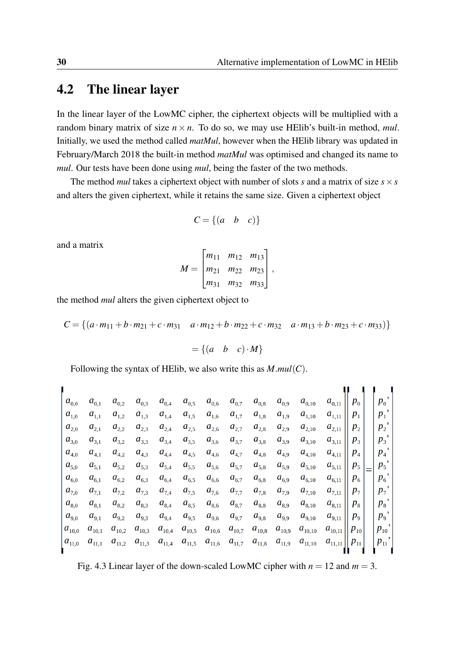### <span id="page-37-0"></span>4.2 The linear layer

In the linear layer of the LowMC cipher, the ciphertext objects will be multiplied with a random binary matrix of size  $n \times n$ . To do so, we may use HElib's built-in method, *mul*. Initially, we used the method called *matMul*, however when the HElib library was updated in February/March 2018 the built-in method *matMul* was optimised and changed its name to *mul*. Our tests have been done using *mul*, being the faster of the two methods.

The method *mul* takes a ciphertext object with number of slots *s* and a matrix of size  $s \times s$ and alters the given ciphertext, while it retains the same size. Given a ciphertext object

$$
C = \{(a \ b \ c)\}\
$$

and a matrix

$$
M = \begin{bmatrix} m_{11} & m_{12} & m_{13} \\ m_{21} & m_{22} & m_{23} \\ m_{31} & m_{32} & m_{33} \end{bmatrix},
$$

the method *mul* alters the given ciphertext object to

$$
C = \{(a \cdot m_{11} + b \cdot m_{21} + c \cdot m_{31} \quad a \cdot m_{12} + b \cdot m_{22} + c \cdot m_{32} \quad a \cdot m_{13} + b \cdot m_{23} + c \cdot m_{33})\}
$$

$$
= \{(a \quad b \quad c) \cdot M\}
$$

Following the syntax of HElib, we also write this as *M*.*mul*(*C*).

<span id="page-37-1"></span>
$$
\begin{bmatrix} a_{0,0} & a_{0,1} & a_{0,2} & a_{0,3} & a_{0,4} & a_{0,5} & a_{0,6} & a_{0,7} & a_{0,8} & a_{0,9} & a_{0,10} & a_{0,11} \\ a_{1,0} & a_{1,1} & a_{1,2} & a_{1,3} & a_{1,4} & a_{1,5} & a_{1,6} & a_{1,7} & a_{1,8} & a_{1,9} & a_{1,10} & a_{1,11} \\ a_{2,0} & a_{2,1} & a_{2,2} & a_{2,3} & a_{2,4} & a_{2,5} & a_{2,6} & a_{2,7} & a_{2,8} & a_{2,9} & a_{2,10} & a_{2,11} \\ a_{3,0} & a_{3,1} & a_{3,2} & a_{3,3} & a_{3,4} & a_{3,5} & a_{3,6} & a_{3,7} & a_{3,8} & a_{3,9} & a_{3,10} & a_{3,11} \\ a_{4,0} & a_{4,1} & a_{4,2} & a_{4,3} & a_{4,4} & a_{4,5} & a_{4,6} & a_{4,7} & a_{4,8} & a_{4,9} & a_{4,10} & a_{4,11} \\ a_{5,0} & a_{5,1} & a_{5,2} & a_{5,3} & a_{5,4} & a_{5,5} & a_{5,6} & a_{5,7} & a_{5,8} & a_{5,9} & a_{5,10} & a_{5,11} \\ a_{6,0} & a_{6,1} & a_{7,2} & a_{7,3} & a_{7,4} & a_{7,5} & a_{7,6} & a_{7,7} & a_{7,8} & a_{7,9} & a_{7,10} & a_{7,11} \\ a_{8,0} & a_{8,1} & a_{8,2} & a_{8,3} & a_{8,4} & a_{8,5} & a_{8,6} & a_{8,7} & a_{8,8} & a_{8,9} & a_{8,10} & a_{8,11} \\ a_{9,0} & a_{9,1} & a_{9,2} & a_{9,3} & a_{9,4} & a_{9,5} & a_{9,6} & a_{9,7} & a_{9,8} & a_{9
$$

Fig. 4.3 Linear layer of the down-scaled LowMC cipher with  $n = 12$  and  $m = 3$ .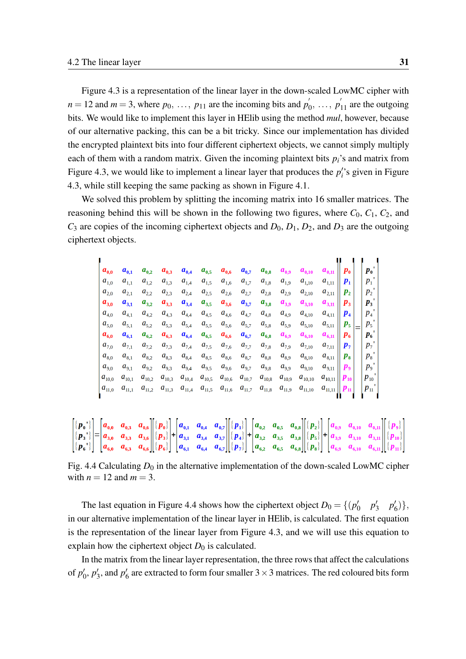Figure [4.3](#page-37-1) is a representation of the linear layer in the down-scaled LowMC cipher with  $n = 12$  and  $m = 3$ , where  $p_0, \ldots, p_{11}$  are the incoming bits and  $p_0$  $p'_0, \ldots, p'_{11}$  are the outgoing bits. We would like to implement this layer in HElib using the method *mul*, however, because of our alternative packing, this can be a bit tricky. Since our implementation has divided the encrypted plaintext bits into four different ciphertext objects, we cannot simply multiply each of them with a random matrix. Given the incoming plaintext bits  $p_i$ 's and matrix from Figure [4.3,](#page-37-1) we would like to implement a linear layer that produces the  $p_i$ 's given in Figure [4.3,](#page-37-1) while still keeping the same packing as shown in Figure [4.1.](#page-36-0)

We solved this problem by splitting the incoming matrix into 16 smaller matrices. The reasoning behind this will be shown in the following two figures, where  $C_0$ ,  $C_1$ ,  $C_2$ , and  $C_3$  are copies of the incoming ciphertext objects and  $D_0$ ,  $D_1$ ,  $D_2$ , and  $D_3$  are the outgoing ciphertext objects.

<span id="page-38-0"></span>

| $\boldsymbol{a}_{0,0}$ | $\boldsymbol{a}_{0,1}$ | $a_{0,2}$    | $a_{0,3}$    | $a_{0,4}$     | $a_{0,5}$  | $a_{0,6}$     | $a_{0,7}$  | $a_{_{0,8}}$                    | $a_{0,9}$  | $\boldsymbol{a}_{\text{0,10}}$ | $a_{_{0,11}}$ , | $\boldsymbol{p}_0$ | $\boldsymbol{p}_0$ |
|------------------------|------------------------|--------------|--------------|---------------|------------|---------------|------------|---------------------------------|------------|--------------------------------|-----------------|--------------------|--------------------|
| $\in a_{1,0}$          | $a_{1,1}$              | $a_{1,2}$    | $a_{1,3}$    | $a_{1,4}$     | $a_{1,5}$  | $a_{_{1,6}}$  | $a_{1,7}$  | $a_{_{1,8}}$                    | $a_{1,9}$  | $a_{1,10}$                     | $a_{1,11}$      | P <sub>1</sub>     | P <sub>1</sub>     |
| $a_{2,0}$              | $a_{2,1}$              | $a_{2,2}$    | $a_{2,3}$    | $a_{2,4}$     | $a_{2,5}$  | $a_{2,6}$     | $a_{2,7}$  | $a_{2,8}$                       | $a_{2,9}$  | $a_{2,10}$                     | $a_{2,11}$      | $\boldsymbol{p}_2$ | $p_{2}$            |
| $\mathbf{a}_{3,0}$     | $a_{3,1}$              | $a_{3,2}$    | $a_{3,3}$    | $a_{3,4}$     | $a_{3,5}$  | $a_{3,6}$     | $a_{3,7}$  | $a_{3,8}$                       | $a_{3,9}$  | $a_{3,10}$                     | $a_{3,11}$      | $\boldsymbol{p}_3$ | $\boldsymbol{p}_3$ |
| $a_{4,0}$              | $a_{4,1}$              | $a_{4,2}$    | $a_{4,3}$    | $a_{4,4}$     | $a_{4,5}$  | $a_{4,6}$     | $a_{4,7}$  | $a_{\scriptscriptstyle 4,8}^{}$ | $a_{4,9}$  | $a_{4,10}$                     | $a_{4,11}$ ,    | $\boldsymbol{p}_4$ | $p_4$              |
| $a_{5,0}$              | $a_{5,1}$              | $a_{5,2}$    | $a_{5,3}$    | $a_{5,4}$     | $a_{5,5}$  | $a_{5,6}$     | $a_{5,7}$  | $a_{5,8}$                       | $a_{5,9}$  | $a_{5,10}$                     | $a_{5,11}$      | $P_{5}$            | $p_{\mathsf{s}}$   |
| $a_{6,0}$              | $a_{6,1}$              | $a_{6,2}$    | $a_{6,3}$    | $a_{6,4}$     | $a_{6,5}$  | $a_{6,6}$     | $a_{6,7}$  | $a_{6,8}$                       | $a_{6,9}$  | $a_{6,10}$                     | $a_{6,11}$ ,    | $P_6$              | $P_6$              |
| $a_{7,0}$              | $a_{7,1}$              | $a_{7,2}$    | $a_{7,3}$    | $a_{7,4}$     | $a_{7,5}$  | $a_{7,6}$     | $a_{7,7}$  | $a_{7,8}$                       | $a_{7,9}$  | $a_{7,10}$                     | $a_{7,11}$      | $\boldsymbol{p}_7$ | $p_{7}$            |
| $a_{8,0}$              | $a_{_{8,1}}$           | $a_{_{8,2}}$ | $a_{_{8,3}}$ | $a_{8,4}$     | $a_{8,5}$  | $a_{8,6}$     | $a_{8,7}$  | $a_{_{8,8}}$                    | $a_{8,9}$  | $a_{8,10}$                     | $a_{_{8,11}}$ , | $P_{\rm 8}$        | $p_{\rm a}$        |
| $a_{9,0}$              | $a_{9,1}$              | $a_{9,2}$    | $a_{9,3}$    | $a_{9,4}$     | $a_{9,5}$  | $a_{9,6}$     | $a_{9,7}$  | $a_{9,8}$                       | $a_{9,9}$  | $a_{9,10}$                     | $a_{9,11}$      | $\boldsymbol{p}_9$ | $p_{9}$            |
| $ a_{10,0} $           | $a_{_{10,1}}$          | $a_{10,2}$   | $a_{10,3}$   | $a_{_{10,4}}$ | $a_{10,5}$ | $a_{_{10,6}}$ | $a_{10,7}$ | $a_{_{10,8}}$                   | $a_{10,9}$ | $a_{_{10,10}}$                 | $a_{_{10,11}}$  | $P_{10}$           | $p_{10}$           |
| $ a_{11,0}$            | $a_{11,1}$             | $a_{11,2}$   | $a_{11,3}$   | $a_{11,4}$    | $a_{11,5}$ | $a_{11,6}$    | $a_{11,7}$ | $a_{11,8}$                      | $a_{11,9}$ | $a_{11,10}$                    | $a_{11,11}$     | $P_{11}$           | $p_{11}$           |
|                        |                        |              |              |               |            |               |            |                                 |            |                                |                 |                    |                    |

|  |  | $\begin{bmatrix} [p_0] \ [p_3] \ [p_5] \end{bmatrix} = \begin{bmatrix} a_{0,0} & a_{0,3} & a_{0,6} \ a_{3,0} & a_{3,3} & a_{3,6} \ a_{6,0} & a_{6,3} & a_{6,6} \end{bmatrix} \begin{bmatrix} [p_0] \ [p_3] \ [p_5] \end{bmatrix} + \begin{bmatrix} a_{0,1} & a_{0,4} & a_{0,7} \ a_{3,1} & a_{3,4} & a_{3,7} \ a_{6,1} & a_{6,4} & a_{6,7} \end{bmatrix} \begin{bmatrix} [p_1] \$ |  |  |  |  |  |  |  |
|--|--|-----------------------------------------------------------------------------------------------------------------------------------------------------------------------------------------------------------------------------------------------------------------------------------------------------------------------------------------------------------------------------------|--|--|--|--|--|--|--|
|  |  |                                                                                                                                                                                                                                                                                                                                                                                   |  |  |  |  |  |  |  |
|  |  |                                                                                                                                                                                                                                                                                                                                                                                   |  |  |  |  |  |  |  |

Fig. 4.4 Calculating  $D_0$  in the alternative implementation of the down-scaled LowMC cipher with  $n = 12$  and  $m = 3$ .

The last equation in Figure [4.4](#page-38-0) shows how the ciphertext object  $D_0 = \{ (p_0, p_1, p_2, p_3, p_4, p_5, p_6, p_7, p_8, p_9, p_{10}, p_{11}, p_{12}, p_{13}, p_{14}, p_{15}, p_{16}, p_{17}, p_{18}, p_{19}, p_{19}, p_{10}, p_{11}, p_{12}, p_{13}, p_{14}, p_{15}, p_{16}, p_{17}, p_{18}, p_{19}, p_{10$  $p'_0$   $p'_1$  $p'_3$   $p'_6$  $'_{6})\},$ in our alternative implementation of the linear layer in HElib, is calculated. The first equation is the representation of the linear layer from Figure [4.3,](#page-37-1) and we will use this equation to explain how the ciphertext object  $D_0$  is calculated.

In the matrix from the linear layer representation, the three rows that affect the calculations of  $p_0'$  $'_{0}, p'_{2}$  $\frac{1}{3}$ , and  $p'_{\theta}$  $\frac{6}{6}$  are extracted to form four smaller  $3 \times 3$  matrices. The red coloured bits form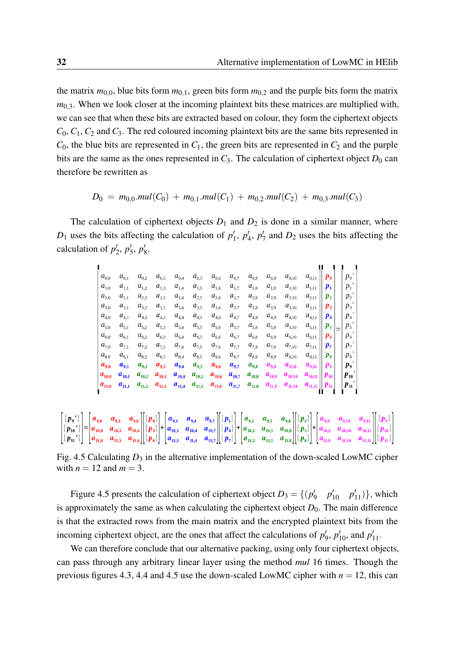the matrix  $m_{0,0}$ , blue bits form  $m_{0,1}$ , green bits form  $m_{0,2}$  and the purple bits form the matrix  $m<sub>0.3</sub>$ . When we look closer at the incoming plaintext bits these matrices are multiplied with, we can see that when these bits are extracted based on colour, they form the ciphertext objects *C*0, *C*1, *C*<sup>2</sup> and *C*3. The red coloured incoming plaintext bits are the same bits represented in  $C_0$ , the blue bits are represented in  $C_1$ , the green bits are represented in  $C_2$  and the purple bits are the same as the ones represented in  $C_3$ . The calculation of ciphertext object  $D_0$  can therefore be rewritten as

$$
D_0 = m_{0,0}.mul(C_0) + m_{0,1}.mul(C_1) + m_{0,2}.mul(C_2) + m_{0,3}.mul(C_3)
$$

<span id="page-39-0"></span>The calculation of ciphertext objects  $D_1$  and  $D_2$  is done in a similar manner, where  $D_1$  uses the bits affecting the calculation of  $p_1'$  $'_{1}, p'_{2}$ 4 , *p* ′  $\frac{1}{7}$  and  $D_2$  uses the bits affecting the calculation of  $p_2'$  $'_{2}, p'_{3}$  $'_{5}, p'_{8}$ ,<br>8.

| $a_{0,0}$          | $a_{_{0,1}}$ | $a_{0,2}$    | $a_{0,3}$  | $a_{0,4}$  | $a_{0,5}$  | $a_{0,6}$  | $a_{0,7}$  | $a_{_{0,8}}$ | $a_{0,9}$  | $a_{0,10}$  | $a_{_{0,11}}$ ,        | $\boldsymbol{p}_{\boldsymbol{0}}$ | $p_{0}$            |  |
|--------------------|--------------|--------------|------------|------------|------------|------------|------------|--------------|------------|-------------|------------------------|-----------------------------------|--------------------|--|
| $a_{1,0}$          | $a_{1,1}$    | $a_{1,2}$    | $a_{1,3}$  | $a_{1,4}$  | $a_{1,5}$  | $a_{1,6}$  | $a_{1,7}$  | $a_{1,8}$    | $a_{1,9}$  | $a_{1,10}$  | $a_{1,11}$ ,           | $\bm{p}_1$                        | $P_{1}$            |  |
| $a_{2,0}$          | $a_{2,1}$    | $a_{2,2}$    | $a_{2,3}$  | $a_{2,4}$  | $a_{2,5}$  | $a_{2,6}$  | $a_{2,7}$  | $a_{2,8}$    | $a_{2,9}$  | $a_{2,10}$  | $a_{2,11}$             | $\boldsymbol{p}_2$                | $p_{2}$            |  |
| $a_{3,0}$          | $a_{3,1}$    | $a_{3,2}$    | $a_{3,3}$  | $a_{3,4}$  | $a_{3,5}$  | $a_{3,6}$  | $a_{3,7}$  | $a_{3,8}$    | $a_{3,9}$  | $a_{3,10}$  | $a_{3,11}$             | $\boldsymbol{p}_3$                | $p_{3}$            |  |
| $\cdot$ $a_{4,0}$  | $a_{4,1}$    | $a_{4,2}$    | $a_{4,3}$  | $a_{4,4}$  | $a_{4,5}$  | $a_{4,6}$  | $a_{4,7}$  | $a_{4,8}$    | $a_{4,9}$  | $a_{4,10}$  | $a_{4,11}$             | $\boldsymbol{p}_4$                | $p_4$              |  |
| $a_{5,0}$          | $a_{5,1}$    | $a_{5,2}$    | $a_{5,3}$  | $a_{5,4}$  | $a_{5,5}$  | $a_{5,6}$  | $a_{5,7}$  | $a_{5,8}$    | $a_{5,9}$  | $a_{5,10}$  | $a_{5,11}$ ,           | $\boldsymbol{p}_5$                | $p_{5}$<br>Ξ       |  |
| $a_{6,0}$          | $a_{6,1}$    | $a_{6,2}$    | $a_{6,3}$  | $a_{6,4}$  | $a_{6,5}$  | $a_{6,6}$  | $a_{6,7}$  | $a_{6,8}$    | $a_{6,9}$  | $a_{6,10}$  | $a_{6,11}$             | $\boldsymbol{p}_6$                | $p_{6}$            |  |
| $a_{7,0}$          | $a_{7,1}$    | $a_{7,2}$    | $a_{7,3}$  | $a_{7,4}$  | $a_{7,5}$  | $a_{7,6}$  | $a_{7,7}$  | $a_{7,8}$    | $a_{7,9}$  | $a_{7,10}$  | $a_{7,11}$             | $\bm{p}_7$                        | p <sub>7</sub>     |  |
| $a_{8,0}$          | $a_{8,1}$    | $a_{_{8,2}}$ | $a_{8,3}$  | $a_{8,4}$  | $a_{8,5}$  | $a_{8,6}$  | $a_{8,7}$  | $a_{8,8}$    | $a_{8,9}$  | $a_{8,10}$  | $a_{_{8,11}}$ ,        | $\bm{p}_{{\bm{s}}}$               | $p_{\rm a}$        |  |
| $\mathbf{a}_{9,0}$ | $a_{9,1}$    | $a_{9,2}$    | $a_{9,3}$  | $a_{9,4}$  | $a_{9,5}$  | $a_{9,6}$  | $a_{9,7}$  | $a_{9,8}$    | $a_{9,9}$  | $a_{9,10}$  | $a_{9,11}$ ,           | $\boldsymbol{p}_9$                | $\boldsymbol{p_9}$ |  |
| $ a_{10,0} $       | $a_{10,1}$   | $a_{10,2}$   | $a_{10,3}$ | $a_{10,4}$ | $a_{10,5}$ | $a_{10,6}$ | $a_{10,7}$ | $a_{10,8}$   | $a_{10,9}$ | $a_{10,10}$ | $a_{10,11}$   $p_{10}$ |                                   | $P_{10}$           |  |
| $ a_{11,0} $       | $a_{11,1}$   | $a_{11,2}$   | $a_{11,3}$ | $a_{11,4}$ | $a_{11,5}$ | $a_{11,6}$ | $a_{11,7}$ | $a_{11,8}$   | $a_{11,9}$ | $a_{11,10}$ | $a_{11,11}$   $p_{11}$ |                                   | $p_{11}$           |  |
|                    |              |              |            |            |            |            |            |              |            |             |                        |                                   |                    |  |

|  |  |  |  | $\begin{bmatrix} [p_{9}] \ [p_{10}] \ [p_{10}] \ [p_{11}] \end{bmatrix} = \begin{bmatrix} a_{9,0} & a_{9,3} & a_{9,6} \ a_{10,0} & a_{10,3} & a_{10,6} \ a_{11,0} & a_{11,6} & a_{10,6} \end{bmatrix} \begin{bmatrix} [p_{0}] \ [p_{3}] \ [p_{5}] \end{bmatrix} + \begin{bmatrix} a_{9,1} & a_{9,4} & a_{9,7} \ a_{10,1} & a_{10,4} & a_{10,7} \ a_{11,1} & a_{11,4} & a_{11$ |  |  |  |  |
|--|--|--|--|-------------------------------------------------------------------------------------------------------------------------------------------------------------------------------------------------------------------------------------------------------------------------------------------------------------------------------------------------------------------------------|--|--|--|--|

Fig. 4.5 Calculating  $D_3$  in the alternative implementation of the down-scaled LowMC cipher with  $n = 12$  and  $m = 3$ .

Figure [4.5](#page-39-0) presents the calculation of ciphertext object  $D_3 = \{(p_3)$  $p'_{10}$   $p'_{11}$ }, which is approximately the same as when calculating the ciphertext object  $D_0$ . The main difference is that the extracted rows from the main matrix and the encrypted plaintext bits from the incoming ciphertext object, are the ones that affect the calculations of  $p'$  $p'_{10}$ , and  $p'_{11}$ .

We can therefore conclude that our alternative packing, using only four ciphertext objects, can pass through any arbitrary linear layer using the method *mul* 16 times. Though the previous figures [4.3,](#page-37-1) [4.4](#page-38-0) and [4.5](#page-39-0) use the down-scaled LowMC cipher with  $n = 12$ , this can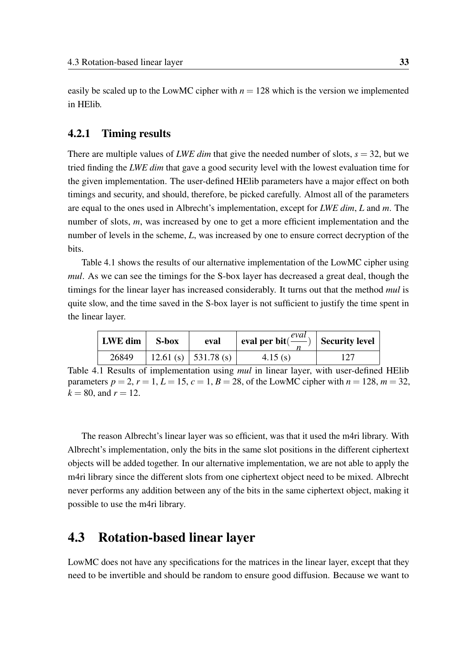easily be scaled up to the LowMC cipher with  $n = 128$  which is the version we implemented in HElib.

#### <span id="page-40-0"></span>4.2.1 Timing results

There are multiple values of *LWE dim* that give the needed number of slots,  $s = 32$ , but we tried finding the *LWE dim* that gave a good security level with the lowest evaluation time for the given implementation. The user-defined HElib parameters have a major effect on both timings and security, and should, therefore, be picked carefully. Almost all of the parameters are equal to the ones used in Albrecht's implementation, except for *LWE dim*, *L* and *m*. The number of slots, *m*, was increased by one to get a more efficient implementation and the number of levels in the scheme, *L*, was increased by one to ensure correct decryption of the bits.

Table [4.1](#page-40-2) shows the results of our alternative implementation of the LowMC cipher using *mul*. As we can see the timings for the S-box layer has decreased a great deal, though the timings for the linear layer has increased considerably. It turns out that the method *mul* is quite slow, and the time saved in the S-box layer is not sufficient to justify the time spent in the linear layer.

<span id="page-40-2"></span>

| LWE dim | S-box | eval                         | eval per bit( $\frac{eval}{ }$ ) | <b>Security level</b> |
|---------|-------|------------------------------|----------------------------------|-----------------------|
| 26849   |       | 12.61 (s) $\vert$ 531.78 (s) | 4.15(s)                          |                       |

Table 4.1 Results of implementation using *mul* in linear layer, with user-defined HElib parameters  $p = 2$ ,  $r = 1$ ,  $L = 15$ ,  $c = 1$ ,  $B = 28$ , of the LowMC cipher with  $n = 128$ ,  $m = 32$ ,  $k = 80$ , and  $r = 12$ .

The reason Albrecht's linear layer was so efficient, was that it used the m4ri library. With Albrecht's implementation, only the bits in the same slot positions in the different ciphertext objects will be added together. In our alternative implementation, we are not able to apply the m4ri library since the different slots from one ciphertext object need to be mixed. Albrecht never performs any addition between any of the bits in the same ciphertext object, making it possible to use the m4ri library.

### <span id="page-40-1"></span>4.3 Rotation-based linear layer

LowMC does not have any specifications for the matrices in the linear layer, except that they need to be invertible and should be random to ensure good diffusion. Because we want to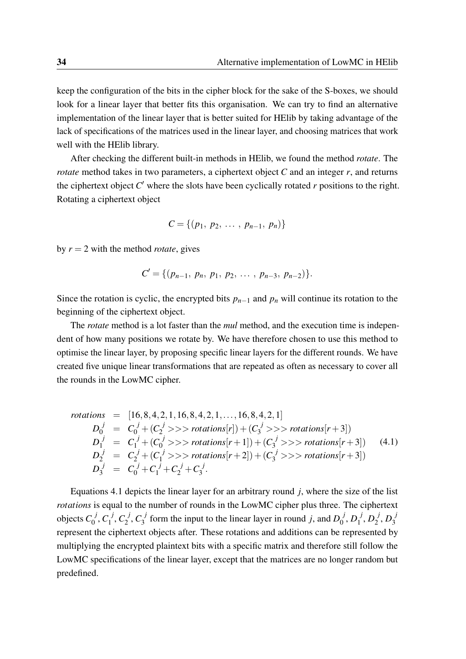keep the configuration of the bits in the cipher block for the sake of the S-boxes, we should look for a linear layer that better fits this organisation. We can try to find an alternative implementation of the linear layer that is better suited for HElib by taking advantage of the lack of specifications of the matrices used in the linear layer, and choosing matrices that work well with the HElib library.

After checking the different built-in methods in HElib, we found the method *rotate*. The *rotate* method takes in two parameters, a ciphertext object *C* and an integer *r*, and returns the ciphertext object *C* ′ where the slots have been cyclically rotated *r* positions to the right. Rotating a ciphertext object

$$
C = \{(p_1, p_2, \ldots, p_{n-1}, p_n)\}\
$$

by  $r = 2$  with the method *rotate*, gives

$$
C' = \{ (p_{n-1}, p_n, p_1, p_2, \ldots, p_{n-3}, p_{n-2}) \}.
$$

Since the rotation is cyclic, the encrypted bits  $p_{n-1}$  and  $p_n$  will continue its rotation to the beginning of the ciphertext object.

The *rotate* method is a lot faster than the *mul* method, and the execution time is independent of how many positions we rotate by. We have therefore chosen to use this method to optimise the linear layer, by proposing specific linear layers for the different rounds. We have created five unique linear transformations that are repeated as often as necessary to cover all the rounds in the LowMC cipher.

<span id="page-41-0"></span>
$$
rotations = [16, 8, 4, 2, 1, 16, 8, 4, 2, 1, ..., 16, 8, 4, 2, 1]
$$
\n
$$
D_0^j = C_0^j + (C_2^j >> rotations[r]) + (C_3^j >> rotations[r+3])
$$
\n
$$
D_1^j = C_1^j + (C_0^j >> rotations[r+1]) + (C_3^j >> rotations[r+3])
$$
\n
$$
D_2^j = C_2^j + (C_1^j >> rotations[r+2]) + (C_3^j >> rotations[r+3])
$$
\n
$$
D_3^j = C_0^j + C_1^j + C_2^j + C_3^j.
$$
\n(4.1)

Equations [4.1](#page-41-0) depicts the linear layer for an arbitrary round *j*, where the size of the list *rotations* is equal to the number of rounds in the LowMC cipher plus three. The ciphertext objects  $C_0^{\ j}$  $\iota_0^j, \mathcal{C}_1^j$  $C_1^j, C_2^j$  $C_2^j, C_3^j$  $J_3^j$  form the input to the linear layer in round *j*, and  $D_0^{j}$  $\overline{\mathcal{G}}^j, D_1^{\ j}$  $j^{j}$ ,  $D_{2}^{j}$  $b_2^j, D_3^j$ 3 represent the ciphertext objects after. These rotations and additions can be represented by multiplying the encrypted plaintext bits with a specific matrix and therefore still follow the LowMC specifications of the linear layer, except that the matrices are no longer random but predefined.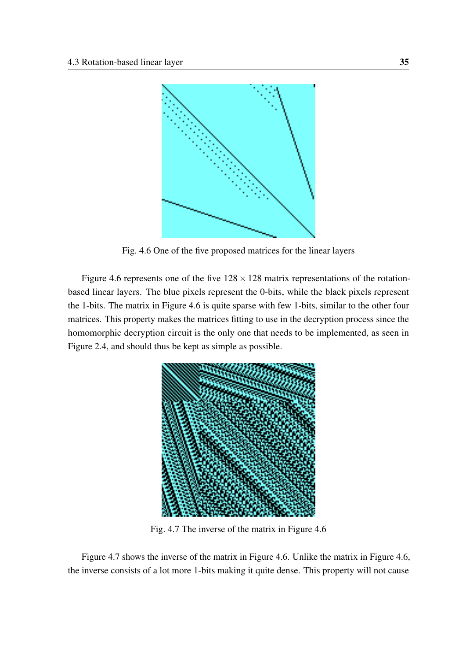<span id="page-42-0"></span>

Fig. 4.6 One of the five proposed matrices for the linear layers

Figure [4.6](#page-42-0) represents one of the five  $128 \times 128$  matrix representations of the rotationbased linear layers. The blue pixels represent the 0-bits, while the black pixels represent the 1-bits. The matrix in Figure [4.6](#page-42-0) is quite sparse with few 1-bits, similar to the other four matrices. This property makes the matrices fitting to use in the decryption process since the homomorphic decryption circuit is the only one that needs to be implemented, as seen in Figure [2.4,](#page-21-0) and should thus be kept as simple as possible.

<span id="page-42-1"></span>

Fig. 4.7 The inverse of the matrix in Figure [4.6](#page-42-0)

Figure [4.7](#page-42-1) shows the inverse of the matrix in Figure [4.6.](#page-42-0) Unlike the matrix in Figure [4.6,](#page-42-0) the inverse consists of a lot more 1-bits making it quite dense. This property will not cause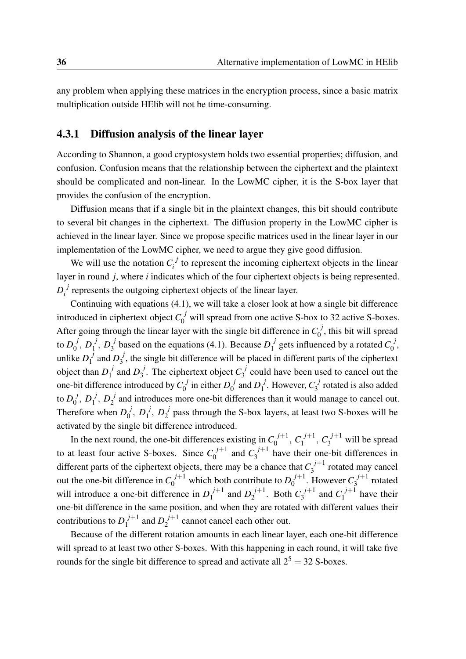any problem when applying these matrices in the encryption process, since a basic matrix multiplication outside HElib will not be time-consuming.

### <span id="page-43-0"></span>4.3.1 Diffusion analysis of the linear layer

According to Shannon, a good cryptosystem holds two essential properties; diffusion, and confusion. Confusion means that the relationship between the ciphertext and the plaintext should be complicated and non-linear. In the LowMC cipher, it is the S-box layer that provides the confusion of the encryption.

Diffusion means that if a single bit in the plaintext changes, this bit should contribute to several bit changes in the ciphertext. The diffusion property in the LowMC cipher is achieved in the linear layer. Since we propose specific matrices used in the linear layer in our implementation of the LowMC cipher, we need to argue they give good diffusion.

We will use the notation  $C_i^j$  $i<sub>i</sub>$ <sup>t</sup> to represent the incoming ciphertext objects in the linear layer in round *j*, where *i* indicates which of the four ciphertext objects is being represented.  $D_i^{\phantom{ij}j}$ *i*<sup> $\prime$ </sup> represents the outgoing ciphertext objects of the linear layer.

Continuing with equations [\(4.1\)](#page-41-0), we will take a closer look at how a single bit difference introduced in ciphertext object  $C_0^j$  will spread from one active S-box to 32 active S-boxes. After going through the linear layer with the single bit difference in  $C_0^j$  $\int_0^J$ , this bit will spread to  $D_0^{\phantom{\mathrm{u}}}$  $_0^j,\,D_1^{\;j}$  $\frac{j}{1}$ ,  $D_3^{\ j}$  $j^j$  based on the equations [\(4.1\)](#page-41-0). Because  $D_1^{j^j}$  $I_1^j$  gets influenced by a rotated  $C_0^j$  $\frac{J}{0}$ unlike  $D_1^{\ j}$  $I_1^j$  and  $D_3^j$  $3<sub>3</sub>$ , the single bit difference will be placed in different parts of the ciphertext object than  $D_1^{\ j}$  $\int_1^j$  and  $D_3^j$  $J_3^j$ . The ciphertext object  $C_3^j$  $\frac{1}{3}$  could have been used to cancel out the one-bit difference introduced by  $C_0^{\ j}$  $\int_0^j$  in either  $D_0^j$  $\int_0^j$  and  $D_1^{\ j}$  $\int_1^j$ . However,  $C_3^j$  $\int_3^3$  rotated is also added to  $D_0^{\;j}$  $_0^j,\,D_1^{\;j}$  $j_1^j, D_2^j$  $\frac{1}{2}$  and introduces more one-bit differences than it would manage to cancel out. Therefore when  $D_0^{j}$  $_0^j,\,D_1^{\;j}$  $j_1^j, D_2^j$  $\frac{1}{2}$  pass through the S-box layers, at least two S-boxes will be activated by the single bit difference introduced.

In the next round, the one-bit differences existing in  $C_0^{j+1}$  $C_0^{j+1}$ ,  $C_1^{j+1}$  $C_1^{j+1}$ ,  $C_3^{j+1}$  will be spread to at least four active S-boxes. Since  $C_0^{j+1}$  $C_0^{j+1}$  and  $C_3^{j+1}$  $\frac{1}{3}$ <sup> $\frac{1}{3}$ </sup> have their one-bit differences in different parts of the ciphertext objects, there may be a chance that  $C_3^{j+1}$  $\int_3^{f+1}$  rotated may cancel out the one-bit difference in  $C_0^{j+1}$  which both contribute to  $D_0^{j+1}$  $0^{j+1}$ . However  $C_3^{j+1}$  $\frac{1}{3}$  rotated will introduce a one-bit difference in  $D_1^{j+1}$  $D_1^{j+1}$  and  $D_2^{j+1}$  $2^{j+1}$ . Both  $C_3^{j+1}$  $C_1^{j+1}$  and  $C_1^{j+1}$  $\int_1^{f+1}$  have their one-bit difference in the same position, and when they are rotated with different values their contributions to  $D_1^{j+1}$  $I_1^{j+1}$  and  $D_2^{j+1}$  $2^{f+1}$  cannot cancel each other out.

Because of the different rotation amounts in each linear layer, each one-bit difference will spread to at least two other S-boxes. With this happening in each round, it will take five rounds for the single bit difference to spread and activate all  $2^5 = 32$  S-boxes.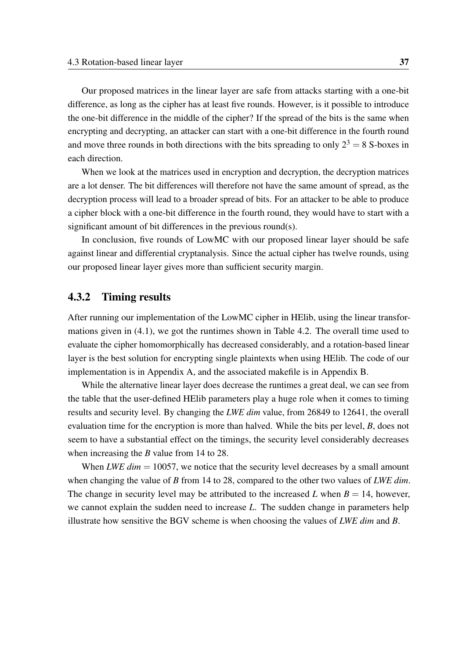Our proposed matrices in the linear layer are safe from attacks starting with a one-bit difference, as long as the cipher has at least five rounds. However, is it possible to introduce the one-bit difference in the middle of the cipher? If the spread of the bits is the same when encrypting and decrypting, an attacker can start with a one-bit difference in the fourth round and move three rounds in both directions with the bits spreading to only  $2^3 = 8$  S-boxes in each direction.

When we look at the matrices used in encryption and decryption, the decryption matrices are a lot denser. The bit differences will therefore not have the same amount of spread, as the decryption process will lead to a broader spread of bits. For an attacker to be able to produce a cipher block with a one-bit difference in the fourth round, they would have to start with a significant amount of bit differences in the previous round(s).

In conclusion, five rounds of LowMC with our proposed linear layer should be safe against linear and differential cryptanalysis. Since the actual cipher has twelve rounds, using our proposed linear layer gives more than sufficient security margin.

#### <span id="page-44-0"></span>4.3.2 Timing results

After running our implementation of the LowMC cipher in HElib, using the linear transformations given in [\(4.1\)](#page-41-0), we got the runtimes shown in Table [4.2.](#page-45-0) The overall time used to evaluate the cipher homomorphically has decreased considerably, and a rotation-based linear layer is the best solution for encrypting single plaintexts when using HElib. The code of our implementation is in Appendix [A,](#page-50-0) and the associated makefile is in Appendix [B.](#page-60-0)

While the alternative linear layer does decrease the runtimes a great deal, we can see from the table that the user-defined HElib parameters play a huge role when it comes to timing results and security level. By changing the *LWE dim* value, from 26849 to 12641, the overall evaluation time for the encryption is more than halved. While the bits per level, *B*, does not seem to have a substantial effect on the timings, the security level considerably decreases when increasing the *B* value from 14 to 28.

When *LWE dim* = 10057, we notice that the security level decreases by a small amount when changing the value of *B* from 14 to 28, compared to the other two values of *LWE dim*. The change in security level may be attributed to the increased L when  $B = 14$ , however, we cannot explain the sudden need to increase *L*. The sudden change in parameters help illustrate how sensitive the BGV scheme is when choosing the values of *LWE dim* and *B*.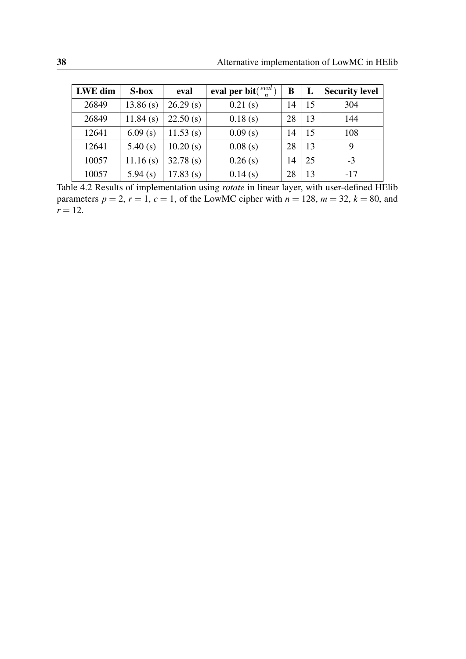<span id="page-45-0"></span>

| LWE dim | S-box    | eval        | eval per bit $(\frac{eval}{n})$ | B  | L  | <b>Security level</b> |
|---------|----------|-------------|---------------------------------|----|----|-----------------------|
| 26849   | 13.86(s) | 26.29(s)    | 0.21(s)                         | 14 | 15 | 304                   |
| 26849   | 11.84(s) | 22.50(s)    | 0.18(s)                         | 28 | 13 | 144                   |
| 12641   | 6.09(s)  | $11.53$ (s) | 0.09(s)                         | 14 | 15 | 108                   |
| 12641   | 5.40(s)  | 10.20(s)    | 0.08(s)                         | 28 | 13 | 9                     |
| 10057   | 11.16(s) | 32.78(s)    | 0.26(s)                         | 14 | 25 | $-3$                  |
| 10057   | 5.94(s)  | 17.83(s)    | 0.14(s)                         | 28 | 13 | $-17$                 |

Table 4.2 Results of implementation using *rotate* in linear layer, with user-defined HElib parameters  $p = 2$ ,  $r = 1$ ,  $c = 1$ , of the LowMC cipher with  $n = 128$ ,  $m = 32$ ,  $k = 80$ , and  $r = 12$ .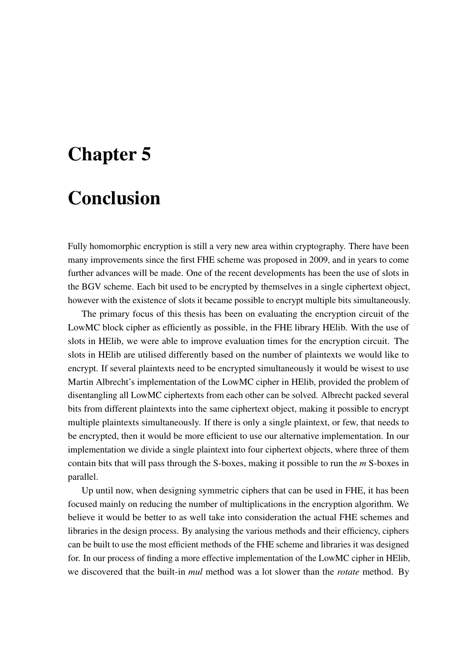# <span id="page-46-0"></span>Chapter 5

# Conclusion

Fully homomorphic encryption is still a very new area within cryptography. There have been many improvements since the first FHE scheme was proposed in 2009, and in years to come further advances will be made. One of the recent developments has been the use of slots in the BGV scheme. Each bit used to be encrypted by themselves in a single ciphertext object, however with the existence of slots it became possible to encrypt multiple bits simultaneously.

The primary focus of this thesis has been on evaluating the encryption circuit of the LowMC block cipher as efficiently as possible, in the FHE library HElib. With the use of slots in HElib, we were able to improve evaluation times for the encryption circuit. The slots in HElib are utilised differently based on the number of plaintexts we would like to encrypt. If several plaintexts need to be encrypted simultaneously it would be wisest to use Martin Albrecht's implementation of the LowMC cipher in HElib, provided the problem of disentangling all LowMC ciphertexts from each other can be solved. Albrecht packed several bits from different plaintexts into the same ciphertext object, making it possible to encrypt multiple plaintexts simultaneously. If there is only a single plaintext, or few, that needs to be encrypted, then it would be more efficient to use our alternative implementation. In our implementation we divide a single plaintext into four ciphertext objects, where three of them contain bits that will pass through the S-boxes, making it possible to run the *m* S-boxes in parallel.

Up until now, when designing symmetric ciphers that can be used in FHE, it has been focused mainly on reducing the number of multiplications in the encryption algorithm. We believe it would be better to as well take into consideration the actual FHE schemes and libraries in the design process. By analysing the various methods and their efficiency, ciphers can be built to use the most efficient methods of the FHE scheme and libraries it was designed for. In our process of finding a more effective implementation of the LowMC cipher in HElib, we discovered that the built-in *mul* method was a lot slower than the *rotate* method. By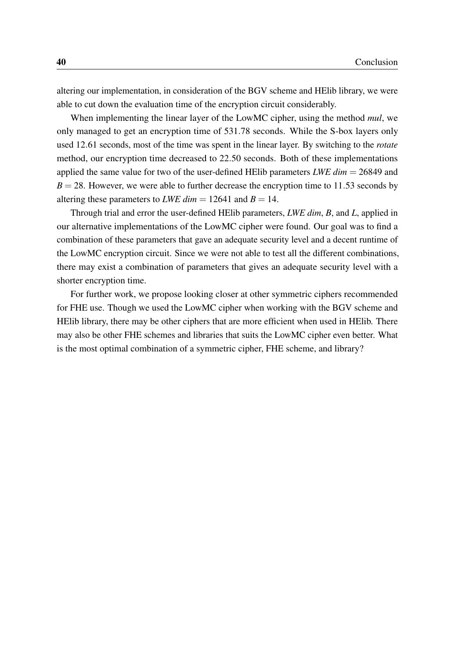altering our implementation, in consideration of the BGV scheme and HElib library, we were able to cut down the evaluation time of the encryption circuit considerably.

When implementing the linear layer of the LowMC cipher, using the method *mul*, we only managed to get an encryption time of 531.78 seconds. While the S-box layers only used 12.61 seconds, most of the time was spent in the linear layer. By switching to the *rotate* method, our encryption time decreased to 22.50 seconds. Both of these implementations applied the same value for two of the user-defined HElib parameters *LWE dim* = 26849 and  $B = 28$ . However, we were able to further decrease the encryption time to 11.53 seconds by altering these parameters to *LWE dim*  $= 12641$  and  $B = 14$ .

Through trial and error the user-defined HElib parameters, *LWE dim*, *B*, and *L*, applied in our alternative implementations of the LowMC cipher were found. Our goal was to find a combination of these parameters that gave an adequate security level and a decent runtime of the LowMC encryption circuit. Since we were not able to test all the different combinations, there may exist a combination of parameters that gives an adequate security level with a shorter encryption time.

For further work, we propose looking closer at other symmetric ciphers recommended for FHE use. Though we used the LowMC cipher when working with the BGV scheme and HElib library, there may be other ciphers that are more efficient when used in HElib. There may also be other FHE schemes and libraries that suits the LowMC cipher even better. What is the most optimal combination of a symmetric cipher, FHE scheme, and library?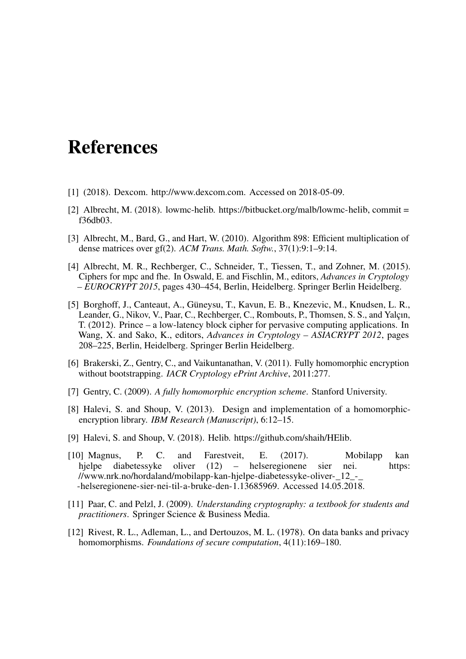# <span id="page-48-0"></span>References

- <span id="page-48-11"></span>[1] (2018). Dexcom. [http://www.dexcom.com.](http://www.dexcom.com) Accessed on 2018-05-09.
- <span id="page-48-9"></span>[2] Albrecht, M. (2018). lowmc-helib. [https://bitbucket.org/malb/lowmc-helib,](https://bitbucket.org/malb/lowmc-helib) commit = f36db03.
- <span id="page-48-10"></span>[3] Albrecht, M., Bard, G., and Hart, W. (2010). Algorithm 898: Efficient multiplication of dense matrices over gf(2). *ACM Trans. Math. Softw.*, 37(1):9:1–9:14.
- <span id="page-48-8"></span>[4] Albrecht, M. R., Rechberger, C., Schneider, T., Tiessen, T., and Zohner, M. (2015). Ciphers for mpc and fhe. In Oswald, E. and Fischlin, M., editors, *Advances in Cryptology – EUROCRYPT 2015*, pages 430–454, Berlin, Heidelberg. Springer Berlin Heidelberg.
- <span id="page-48-2"></span>[5] Borghoff, J., Canteaut, A., Güneysu, T., Kavun, E. B., Knezevic, M., Knudsen, L. R., Leander, G., Nikov, V., Paar, C., Rechberger, C., Rombouts, P., Thomsen, S. S., and Yalçın, T. (2012). Prince – a low-latency block cipher for pervasive computing applications. In Wang, X. and Sako, K., editors, *Advances in Cryptology – ASIACRYPT 2012*, pages 208–225, Berlin, Heidelberg. Springer Berlin Heidelberg.
- <span id="page-48-5"></span>[6] Brakerski, Z., Gentry, C., and Vaikuntanathan, V. (2011). Fully homomorphic encryption without bootstrapping. *IACR Cryptology ePrint Archive*, 2011:277.
- <span id="page-48-4"></span>[7] Gentry, C. (2009). *A fully homomorphic encryption scheme*. Stanford University.
- <span id="page-48-6"></span>[8] Halevi, S. and Shoup, V. (2013). Design and implementation of a homomorphicencryption library. *IBM Research (Manuscript)*, 6:12–15.
- <span id="page-48-7"></span>[9] Halevi, S. and Shoup, V. (2018). Helib. [https://github.com/shaih/HElib.](https://github.com/shaih/HElib)
- <span id="page-48-12"></span>[10] Magnus, P. C. and Farestveit, E. (2017). Mobilapp kan hjelpe diabetessyke oliver (12) – helseregionene sier nei. [https:](https://www.nrk.no/hordaland/mobilapp-kan-hjelpe-diabetessyke-oliver-_12_-_-helseregionene-sier-nei-til-a-bruke-den-1.13685969) [//www.nrk.no/hordaland/mobilapp-kan-hjelpe-diabetessyke-oliver-\\_12\\_-\\_](https://www.nrk.no/hordaland/mobilapp-kan-hjelpe-diabetessyke-oliver-_12_-_-helseregionene-sier-nei-til-a-bruke-den-1.13685969) [-helseregionene-sier-nei-til-a-bruke-den-1.13685969.](https://www.nrk.no/hordaland/mobilapp-kan-hjelpe-diabetessyke-oliver-_12_-_-helseregionene-sier-nei-til-a-bruke-den-1.13685969) Accessed 14.05.2018.
- <span id="page-48-1"></span>[11] Paar, C. and Pelzl, J. (2009). *Understanding cryptography: a textbook for students and practitioners*. Springer Science & Business Media.
- <span id="page-48-3"></span>[12] Rivest, R. L., Adleman, L., and Dertouzos, M. L. (1978). On data banks and privacy homomorphisms. *Foundations of secure computation*, 4(11):169–180.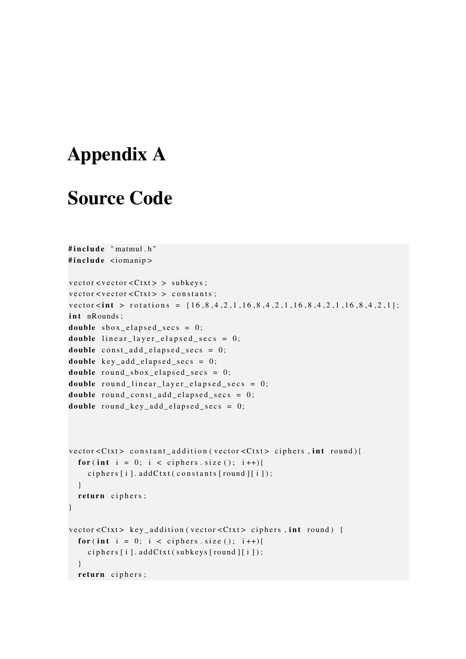# <span id="page-50-0"></span>Appendix A

## Source Code

```
#include "matmul.h"
#include \leq iomanip >
vector < vector < Ctxt&gt; > subkeys;vector < vector < Ctxt > constants;
vector \langle \text{int} \rangle rotations = {16, 8, 4, 2, 1, 16, 8, 4, 2, 1, 16, 8, 4, 2, 1, 16, 8, 4, 2, 1};
int nRounds:
double sbox_elapsed_secs = 0;
double linear\_layer\_elapse_{-secs = 0;double const\_add\_elapped\_secs = 0;double key\_add\_elapsed\_secs = 0;double round sbox elapsed sec s = 0;
double round linear layer elapsed secs = 0;
double round const add elapsed secs = 0;
double round_key_add_elapsed_secs = 0;
\text{vector} < Ctxt > constant_addition (vector < Ctxt > ciphers, int round) {
  for (int i = 0; i < ciphers . size (); i++){
    ciphers[i].addCtxt(constants[round][i]);}
  return ciphers;
}
vector < Ctxt > key_addition (vector < Ctxt > ciphers, int round) {
  for (int i = 0; i < ciphers . size (); i++){
    ciphers[i].addCtxt(subkeys[round][i]);}
  return ciphers;
```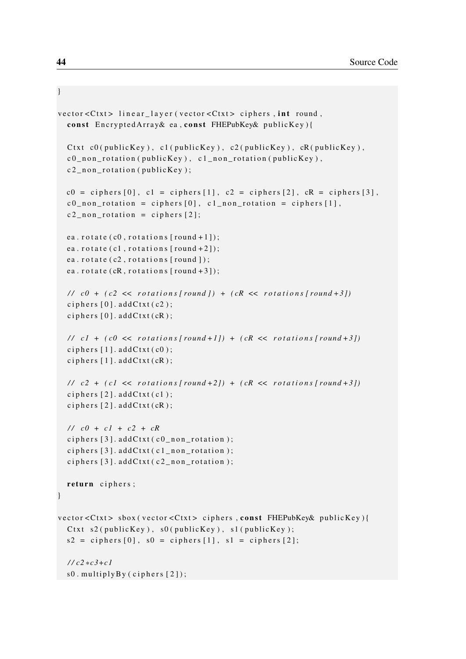```
vector < Ctxt > linear_layer (vector < Ctxt > ciphers, int round,
  const Encrypted Array & ea, const FHEPubKey & publicKey) {
  Ctxt c0(publicKey), c1(publicKey), c2(publicKey), cR(publicKey),
  c0 non _rotation (publicKey), c1 non _rotation (publicKey),
  c2<sub>-n</sub>on-rotation (publicKey);
 c0 = ciphers [0], c1 = ciphers [1], c2 = ciphers [2], cR = ciphers [3],c0 non rotation = ciphers [0], c1 non rotation = ciphers [1],
  c2 non rotation = ciphers [2];
  ea. rotate (c0, rotations [round + 1]);
  ea. rotate (c1, rotations [round + 2]);
  ea. rotate (c2, rotations [round ]);
  ea. rotate (cR, rotations [round + 3]);
  // c0 + (c2 \ll rotations [round]) + (cR \ll rotations [round+3])ciphers [0]. addCtxt(c2);
  ciphers [0]. addCtxt(cR);
  // c1 + (c0 \ll rotations [round + 1]) + (cR \ll rotations [round + 3])ciphers [1]. addCtxt( c0 );
  ciphers [1].addCtxt(cR);// c2 + (c1 \ll rotations | round + 2]) + (cR \ll rotations | round + 3])ciphers [2]. addCtxt(c1);
  ciphers [2]. addCtxt(cR);
  / / c0 + c1 + c2 + cR
  ciphers [3]. addCtxt( c0_non_rotation );ciphers [3]. addCtxt(c1_non_rotation);
  ciphers [3]. addCtxt(c2_non_rotation);
  return ciphers;
}
vector < Ctxt > sbox (vector < Ctxt > ciphers, const FHEPubKey& publicKey ) {
  Ctxt s2 (publicKey), s0 (publicKey), s1 (publicKey);
 s2 = ciphers [0], s0 = ciphers [1], s1 = ciphers [2];/ / c2 * c3+c1
  s0. multiplyBy (ciphers [2]);
```
}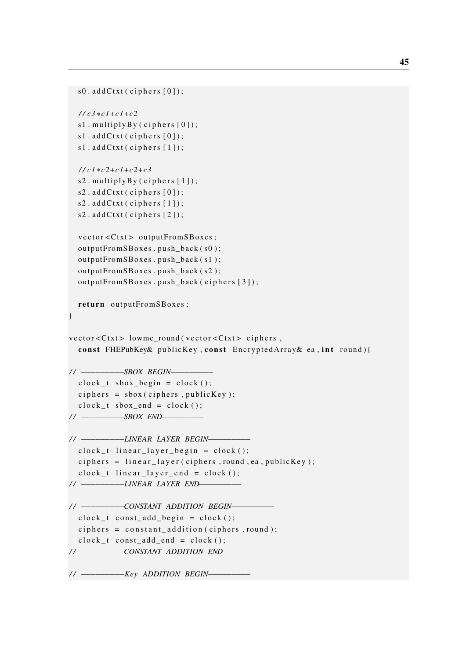```
s0. addCtxt(ciphers[0]);
  / / c3 * c1+c1+c2
  s1. multiply By (ciphers [0]);
  s1. addCtxt(ciphers [0]);
  s1. addCtxt(ciphers [1]);
  / / c1 * c2+c1+c2+c3
  s2. multiply By (ciphers [1]);
  s2. addCtxt(ciphers [0]);s2. addCtxt(ciphers [1]);
  s2. addCtxt(ciphers [2]);
  vector < Ctxt > outputFrom SBoxes;
  outputFromSBoxes . push_back ( s0 ) ;
  outputFromSBoxes . push_back ( s1 ) ;
  outputFromSBoxes . push_back ( s2 ) ;
  outputFrom SBoxes. push\_back ( ciphers [3]);
 return outputFromSBoxes ;
}
vector < Ctxt > lowmc_round (vector < Ctxt > ciphers,
  const FHEPubKey& publicKey, const EncryptedArray& ea, int round){
// −−−−−−−−−−−−−−−−SBOX BEGIN−−−−−−−
  clock_t sbox_begin = clock();ciphers = sbox(ciphers, publicKey);clock_t sboxष = clock ();
/ / −−−−−−−−−SBOX END−−−−−−−−−
/ / −−−−−−−−−LINEAR LAYER BEGIN−−−−−−−−−
  clock_t linear_layer_begin = clock();
  ciphers = linear_layer(ciphers, round, ea, publicKey);clock_t linear_layer_end = clock();
// −−−−−−−−−−−−−−−−−LINEAR LAYER END−−
/ / −−−−−−−−−CONSTANT ADDITION BEGIN−−−−−−−−−
  clock_t const_add_begin = clock();
  ciphers = constant\_addition(ciphers, round);clock_t const_add_end = clock();
// − −−−−−−−−−−−−−−− CONSTANT ADDITION END−
// − −−−−−−−−−−−− Key ADDITION BEGIN−
```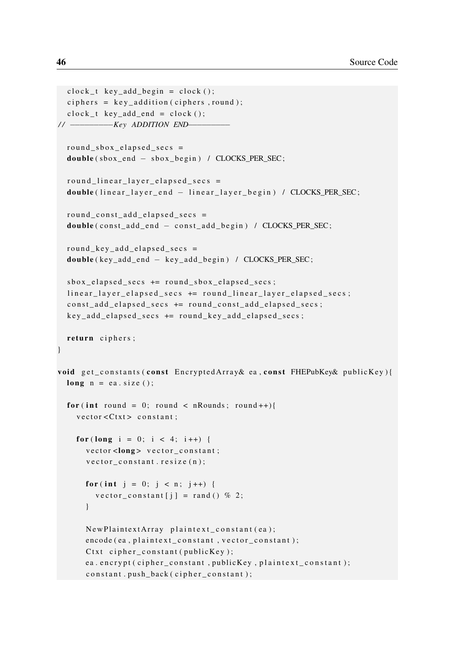```
clock_t key\_add_begin = clock();ciphers = key\_addition(ciphers, round);clock_t key\_add\_end = clock();/ / −−−−−−−−−Key ADDITION END−−−−−−−−−
  round sbox elapsed secs =double (sbox\_end - sbox\_begin) / CLOCKS\_PER\_SEC;round\_linear\_layer\_elapse_{-sec}double (linear_layer_end - linear_layer_begin) / CLOCKS_PER_SEC;
  round\_const\_add\_elanged\_secs =double ( const add end - const add begin ) / CLOCKS PER SEC;
  round\_key\_add\_elanged\_secs =double ( key_add_end − key_add_begin ) / CLOCKS_PER_SEC ;
  sbox _elapsed_secs += round_sbox_elapsed_secs;
  linear_layer_elapsed_secs += round_linear_layer_elapsed_secs;
  const_add_elapsed_secs += round_const_add_elapsed_secs;
  key add elapsed secs += round key add elapsed secs;
 return ciphers;
}
void get_constants (const EncryptedArray& ea, const FHEPubKey& publicKey) {
  long n = ea.size();
  for (int round = 0; round < nRounds; round ++){
    vector < Ctxt constant;
    for (long i = 0; i < 4; i + 1) {
      vector <long > vector_constant;
      vector\_constant. resize(n);for (int j = 0; j < n; j++) {
        vector\_constant[j] = rand() % 2;}
      New PlaintextArray plaintext.constant(ea);
      encode (ea, plaintext_constant, vector_constant);
      Ctxt cipher_constant (publicKey);
      ea. encrypt ( cipher_constant, publicKey, plaintext_constant);
      constant.push_back(cipher_constant);
```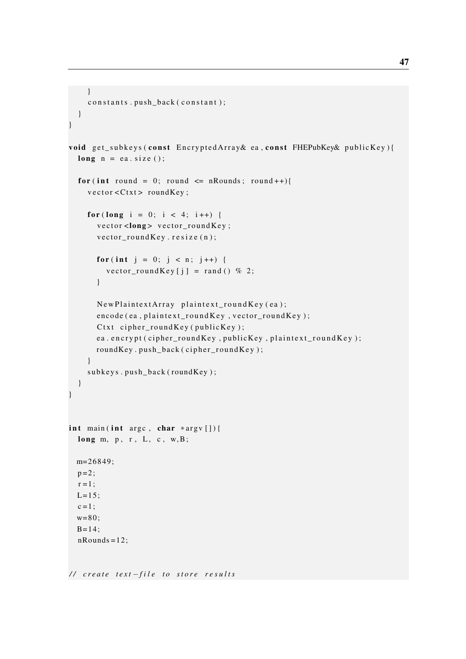```
}
    constants.push_back(constant);
 }
}
void get subkeys (const EncryptedArray& ea, const FHEPubKey& publicKey) {
  long n = ea.size();
  for (int round = 0; round \le nRounds; round ++){
    vector < Ctxt > roundKey;
    for (long i = 0; i < 4; i++) {
      vector < long vector round Key;
      v e c t o r o u n d K e y . r e s i z e (n);
      for (int j = 0; j < n; j++) {
         vector_roundKey [i] = rand () % 2;
      }
      New Plain textArray plaintext _round Key(ea);
      \text{encode}(\text{ea}, \text{plaintext} \text{ roundKey}, \text{vector} \text{ roundKey});Ctxt cipher_roundKey (publicKey);
      ea. encrypt ( cipher_roundKey, publicKey, plaintext_roundKey);
      roundKey.push_back(cipher_roundKey);
    }
    subkeys.push_back(roundKey);
  }
}
int main (int argc, char *argv[]) {
  long m, p, r, L, c, w, B;
 m=26849;
  p = 2;
  r = 1;
 L=15;
  c = 1;
  w=80;B=14;
  nRounds = 12;
```

```
/ / c r e a t e t e x t −f i l e t o s t o r e r e s u l t s
```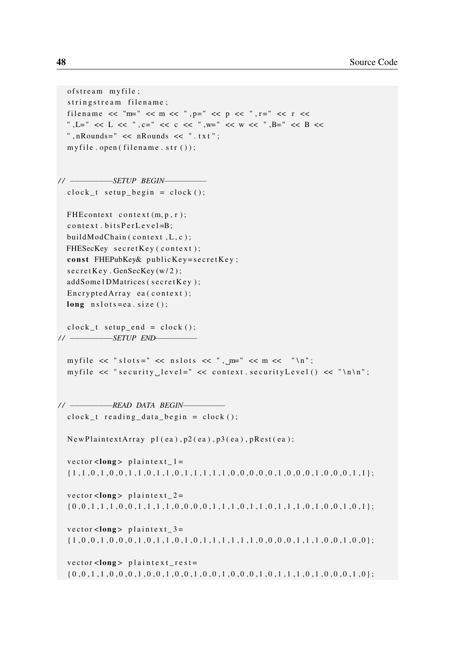```
of stream myfile;
  stringstream filename;
  filename << "m=" << m << ",p=" << p << ",r=" << r <<
  ",L=" << L << ",c=" << c << ",w=' << w << ",B=' < B <<", nRounds=" << nRounds << " . t x t";
  my file . open ( filename . str ());/ / −−−−−−−−−SETUP BEGIN−−−−−−−−−
  clock_t \text{ setup\_begin} = clock(),FHE context context (m, p, r);
  context. bits PerLevel = B;buildModChain (context, L, c);
  FHESecKey secretKey (context);
  const FHEPubKey\& publicKey=secretKey;
  secretKey. GenSecKey(w/2);addSome1DMatrices (secretKey);
  \text{Encryption} ea ( context );
  long nslots = ea.size();
  clock_t = setup\_end = clock();/ / −−−−−−−−−SETUP END−−−−−−−−−
  myfile \ll "slots=" \ll nslots \ll ", m=" \ll m \ll "\n";
  myfile \ll "security level=" \ll context security Level () \ll "\n\n";
/ / −−−−−−−−−READ DATA BEGIN−−−−−−−−−
  clock_t reading_data_begin = clock();
  NewPlaintextArray p1(ea), p2(ea), p3(ea), pRest(ea);vector <long > plaintext 1 =\{1, 1, 0, 1, 0, 0, 1, 1, 0, 1, 1, 0, 1, 1, 1, 1, 1, 1, 0, 0, 0, 0, 0, 1, 0, 0, 0, 1, 0, 0, 0, 1, 1\};vector <long > plaintext_2 =
  \{0, 0, 1, 1, 1, 0, 0, 0, 1, 1, 1, 1, 1, 0, 0, 0, 0, 0, 1, 1, 1, 0, 1, 1, 0, 1, 1, 1, 0, 1, 0, 0, 1, 0, 1\};vector <long > plaintext 3 =\{1, 0, 0, 1, 0, 0, 0, 0, 1, 0, 0, 1, 1, 0, 1, 0, 1, 1, 1, 1, 1, 1, 1, 0, 0, 0, 0, 1, 1, 1, 0, 0, 0, 1, 1, 0, 0, 0\};
  vector <long > plaintext rest =
  \{0, 0, 1, 1, 0, 0, 0, 1, 0, 0, 0, 1, 0, 0, 1, 0, 0, 1, 0, 0, 1, 0, 0, 0, 1, 0, 1, 1, 1, 0, 1, 0, 0, 0, 1, 0\};
```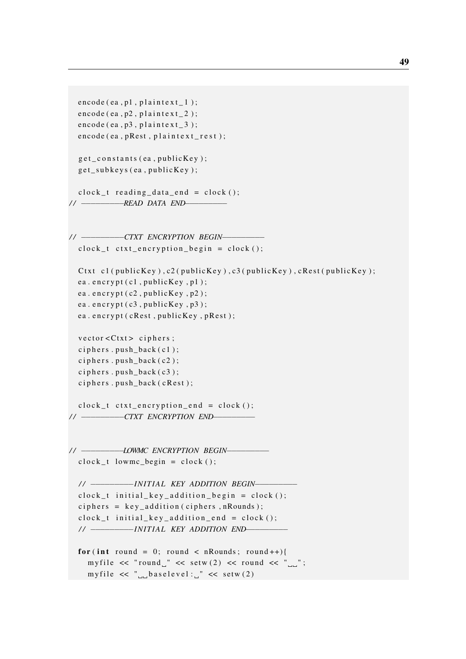```
encode (ea, p1, plaintext\lfloor 1 \rfloor;
  \text{encode}( \text{ea} , \text{p2} , \text{plaintext}_2 );
  \text{encode}( \text{ea} , \text{p3} , \text{plaintext}_3 );
  encode (ea, pRest, plaintext\_rest);g et_constants (ea, publicKey);
  get_subkeys (ea, publicKey);
  clock_t reading_data_end = clock();
/ / −−−−−−−−−READ DATA END−−−−−−−−−
/ / −−−−−−−−−CTXT ENCRYPTION BEGIN−−−−−−−−−
  clock_t ctxt_encryption_begin = clock();
  Ctxt cl ( public Key ), cl ( public Key ), cl ( public Key ), c Rest ( public Key );
  ea. encrypt (c1, publicKey, p1);
  ea.encrypt (c2, publicKey, p2);
  ea. \text{encryption}(\text{c3}, \text{publicKey}, \text{p3});ea. encrypt ( cRest, publicKey, pRest);
  vector < Ctxt > ciphers;ciphers. push\_back(c1);ciphers.push_back(c2);
  ciphers.push_back(c3);
  ciphers.push_back(cRest);
  clock_t ctxt_encryption_end = clock();
/ / −−−−−−−−−CTXT ENCRYPTION END−−−−−−−−−
// −−−−−−−−−−−−−−−− LOWMC ENCRYPTION BEGIN−−−−
  clock_t lowmc_begin = clock ();
  / / −−−−−−−−−IN IT IAL KEY ADDITION BEGIN−−−−−−−−−
  clock_t initial_key_addition_begin = clock();
  ciphers = key\_addition(ciphers, nRounds);clock_t initial_key_addition_end = clock();
  / / −−−−−−−−−IN IT IAL KEY ADDITION END−−−−−−−−−
  for (int round = 0; round < nRounds; round ++){
    myfile \ll "round " \ll setw (2) \ll round \ll "\ll";
    myfile \ll "\ll baselevel:\ll \ll setw (2)
```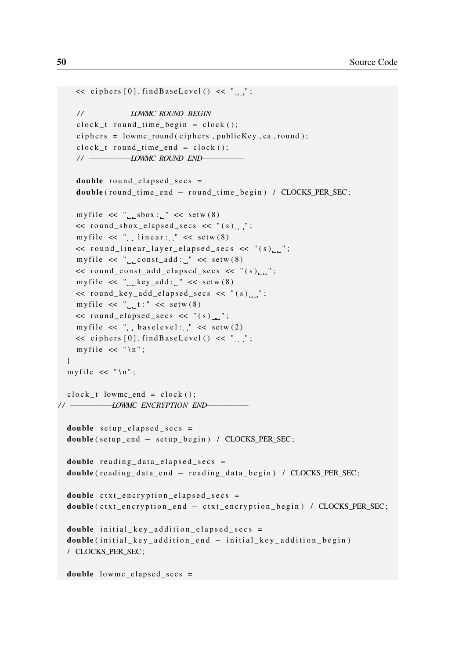```
\prec ciphers [0]. findBaseLevel() \prec "...";
    // − −−−−−−−−−−−−−−−− LOWMC ROUND BEGIN −−−−
    c lock t round time begin = clock ();
    ciphers = lowmc\_round(ciphers, publicKey, ea, round);clock t round time end = clock ();
    // − −−−−−−−−−−−−−−−−− LOWMC ROUND END−−
    double round elapsed secs =
    double (round_time_end - round_time_begin) / CLOCKS_PER_SEC;
    myfile \ll "\logsbox:\log" \ll setw (8)
    \ll round_sbox_elapsed_secs \ll "(s)_";
    myfile \ll "\Boxlinear:\Box" \ll setw (8)
    \ll round_linear_layer_elapsed_secs \ll "(s)myfile \ll "\ll const_add:\ll setw (8)
    \lt round_const_add_elapsed_secs \lt "(s)_";
    myfile \ll "Lkey_add:L" \ll setw (8)
    \lt round_key_add_elapsed_secs \lt "(s)_";
    myfile \ll "t : " \ll setw (8)
    \lt round_elapsed_secs \lt "(s)_";
    myfile \ll "\ll baselevel:\ll setw (2)
    \prec ciphers [0]. findBaseLevel() \prec "...";
    myfile \lt\lt "\ln";
  }
  myfile \lt\lt "\ln";
 c lock t lowmc end = c lock ( );
// − −−−−−−−−−−− LOWMC ENCRYPTION END−
 double setup_elapsed_secs =
  double (setup_end - setup_begin) / CLOCKS_PER_SEC;
  double reading_data_elapsed_secs =
  double (reading_data_end - reading_data_begin) / CLOCKS_PER_SEC;
  double ctxt _{\text{energyption} _{\text{elapse}d} _{\text{secs}} =
  double ( ctxt_encryption_end - ctxt_encryption_begin ) / CLOCKS_PER_SEC;
  double initial_key_addition_elapsed_secs =
  double (initial_key_addition_end - initial_key_addition_begin)
  / CLOCKS_PER_SEC ;
  double lowmc_elapsed_secs =
```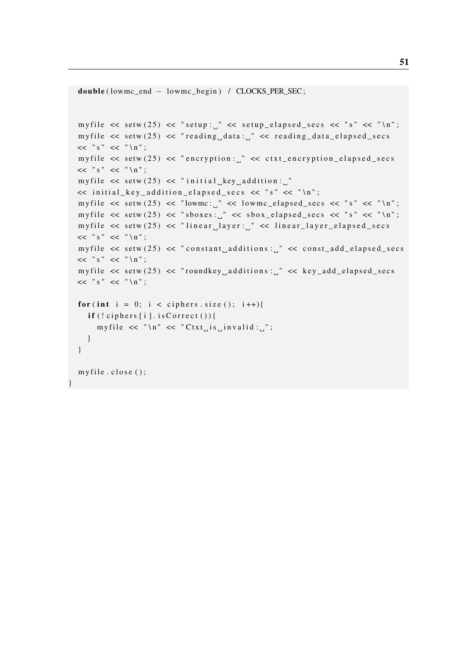```
double ( lowmc_end − lowmc_begin ) / CLOCKS_PER_SEC ;
myfile \ll setw (25) \ll "setup: " \ll setup_elapsed_secs \ll "s" \ll "\n";
myfile \ll setw (25) \ll "reading data: " \ll reading data elapsed secs
<< " s " << " \ n " ;
my file \ll setw (25) \ll "encryption: " \ll ctxt_encryption_elapsed_secs
<< " s " << " \ n " ;
my file \langle setw (25) \langle "initial key addition :
<< initial_key_addition_elapsed_secs << "s" << "\n";
myfile \ll setw (25) \ll "lowmc: " \ll lowmc_elapsed_secs \ll "s" \ll "\n";
myfile \langle setw(25) \langle shoxes: "\langle shox_elapsed_secs \langle s"\rangle s "\langle "\langle "\ranglen";
myfile \ll setw (25) \ll "linear layer: " \ll linear layer elapsed secs
<< " s " << " \ln";
myfile \ll setw (25) \ll "constant additions: " \ll const add elapsed secs
<< " s " << " \ n " ;
my file \ll setw (25) \ll "roundkey additions: " \ll key add elapsed secs
<< " s " << " \n";
for (int i = 0; i < ciphers . size (); i++){
  if (!ciphers[i].isCorrect())myfile \ll "\ln" \ll "Ctxt is invalid: ";
  }
}
my file. close ();
```
}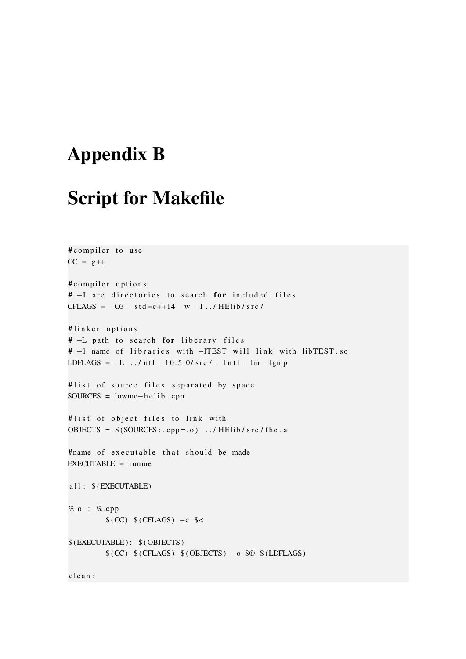# <span id="page-60-0"></span>Appendix B

# Script for Makefile

```
# compiler to use
CC = g++# compiler options
# -I are directories to search for included files
CFLAGS = -03 - std = c++14 -w -I../HElib/src/
#linker options
# -L path to search for libcrary files
# -1 name of libraries with -lTEST will link with libTEST.so
LDFLAGS = -L ../ ntl -10.5.0/src/ -lntl -lm -lgmp
#list of source files separated by space
SOLRCES = lowmc-helib .cpp# list of object files to link with
OBJECTS = $(SOLRCES: . . . . ) . / HElib / src / the . a#name of executable that should be made
EXECUTABLE = runmea l l : $ (EXECUTABLE)
%.o : %. cpp
        (CC) (CFLAGS) –c s<
$ (EXECTTABLE): $ (OBIECTS)$(CC) $(CFLAGS) $(OBIECTS) -o $@ $ (LDFLAGS)clean:
```